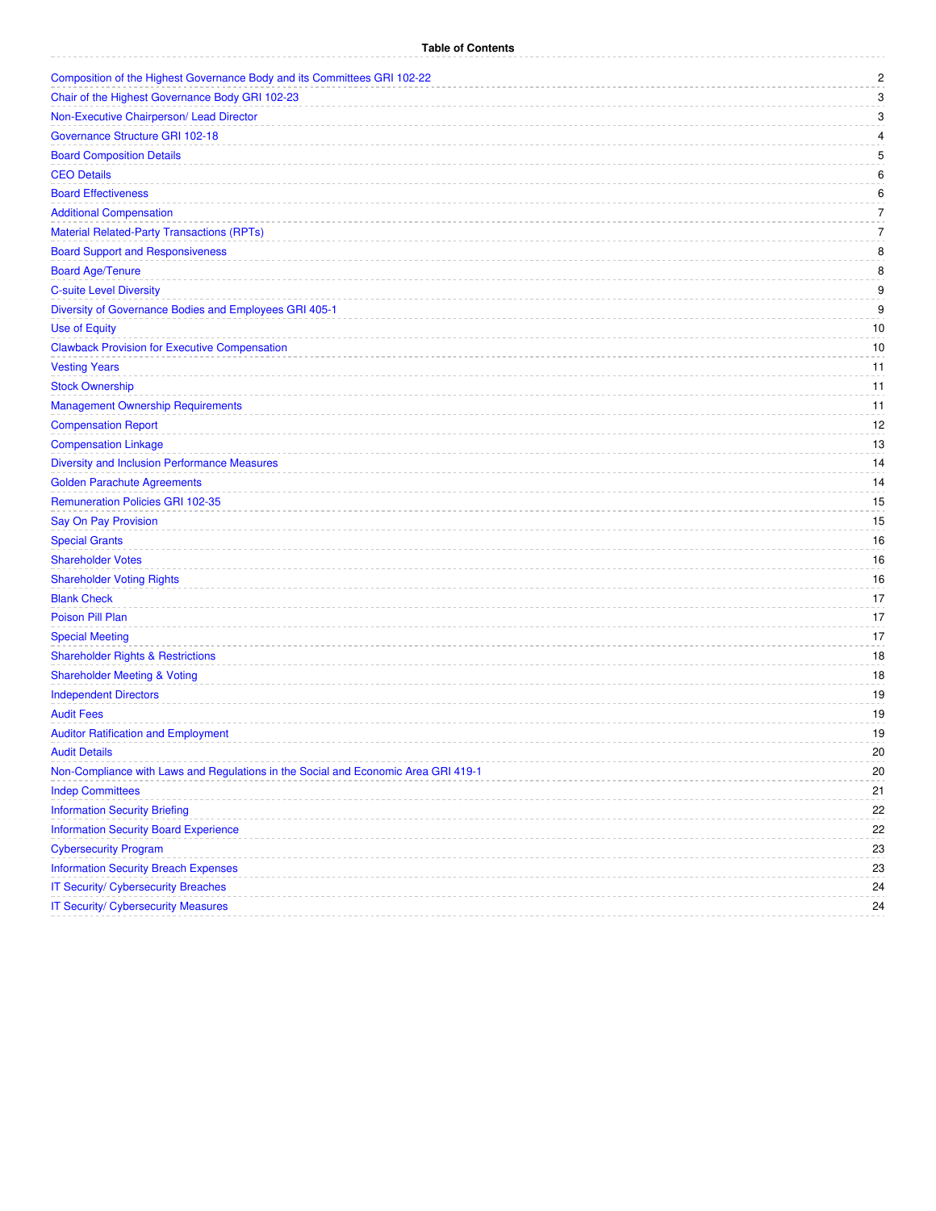| Composition of the Highest Governance Body and its Committees GRI 102-22           | $\overline{c}$ |
|------------------------------------------------------------------------------------|----------------|
| Chair of the Highest Governance Body GRI 102-23                                    | 3              |
| Non-Executive Chairperson/ Lead Director                                           | 3              |
| Governance Structure GRI 102-18                                                    | 4              |
| <b>Board Composition Details</b>                                                   | 5              |
| <b>CEO Details</b>                                                                 | 6              |
| <b>Board Effectiveness</b>                                                         | 6              |
| <b>Additional Compensation</b>                                                     | 7              |
| <b>Material Related-Party Transactions (RPTs)</b>                                  | $\overline{7}$ |
| <b>Board Support and Responsiveness</b>                                            | 8              |
| <b>Board Age/Tenure</b>                                                            | 8              |
| <b>C-suite Level Diversity</b>                                                     | 9              |
| Diversity of Governance Bodies and Employees GRI 405-1                             | 9              |
| <b>Use of Equity</b>                                                               | 10             |
| <b>Clawback Provision for Executive Compensation</b>                               | 10             |
| <b>Vesting Years</b>                                                               | 11             |
| <b>Stock Ownership</b>                                                             | 11             |
| <b>Management Ownership Requirements</b>                                           | 11             |
| <b>Compensation Report</b>                                                         | 12             |
| <b>Compensation Linkage</b>                                                        | 13             |
| <b>Diversity and Inclusion Performance Measures</b>                                | 14             |
| <b>Golden Parachute Agreements</b>                                                 | 14             |
| <b>Remuneration Policies GRI 102-35</b>                                            | 15             |
| Say On Pay Provision                                                               | 15             |
| <b>Special Grants</b>                                                              | 16             |
| <b>Shareholder Votes</b>                                                           | 16             |
| <b>Shareholder Voting Rights</b>                                                   | 16             |
| <b>Blank Check</b>                                                                 | 17             |
| Poison Pill Plan                                                                   | 17             |
| <b>Special Meeting</b>                                                             | 17             |
| <b>Shareholder Rights &amp; Restrictions</b>                                       | 18             |
| <b>Shareholder Meeting &amp; Voting</b>                                            | 18             |
| <b>Independent Directors</b>                                                       | 19             |
| <b>Audit Fees</b>                                                                  | 19             |
| <b>Auditor Ratification and Employment</b>                                         | 19             |
| <b>Audit Details</b>                                                               | 20             |
| Non-Compliance with Laws and Regulations in the Social and Economic Area GRI 419-1 | 20             |
| <b>Indep Committees</b>                                                            | 21             |
| <b>Information Security Briefing</b>                                               | 22             |
| <b>Information Security Board Experience</b>                                       | 22             |
| <b>Cybersecurity Program</b>                                                       | 23             |
| <b>Information Security Breach Expenses</b>                                        | 23             |
| IT Security/ Cybersecurity Breaches                                                | 24             |
| <b>IT Security/ Cybersecurity Measures</b>                                         | 24             |
|                                                                                    |                |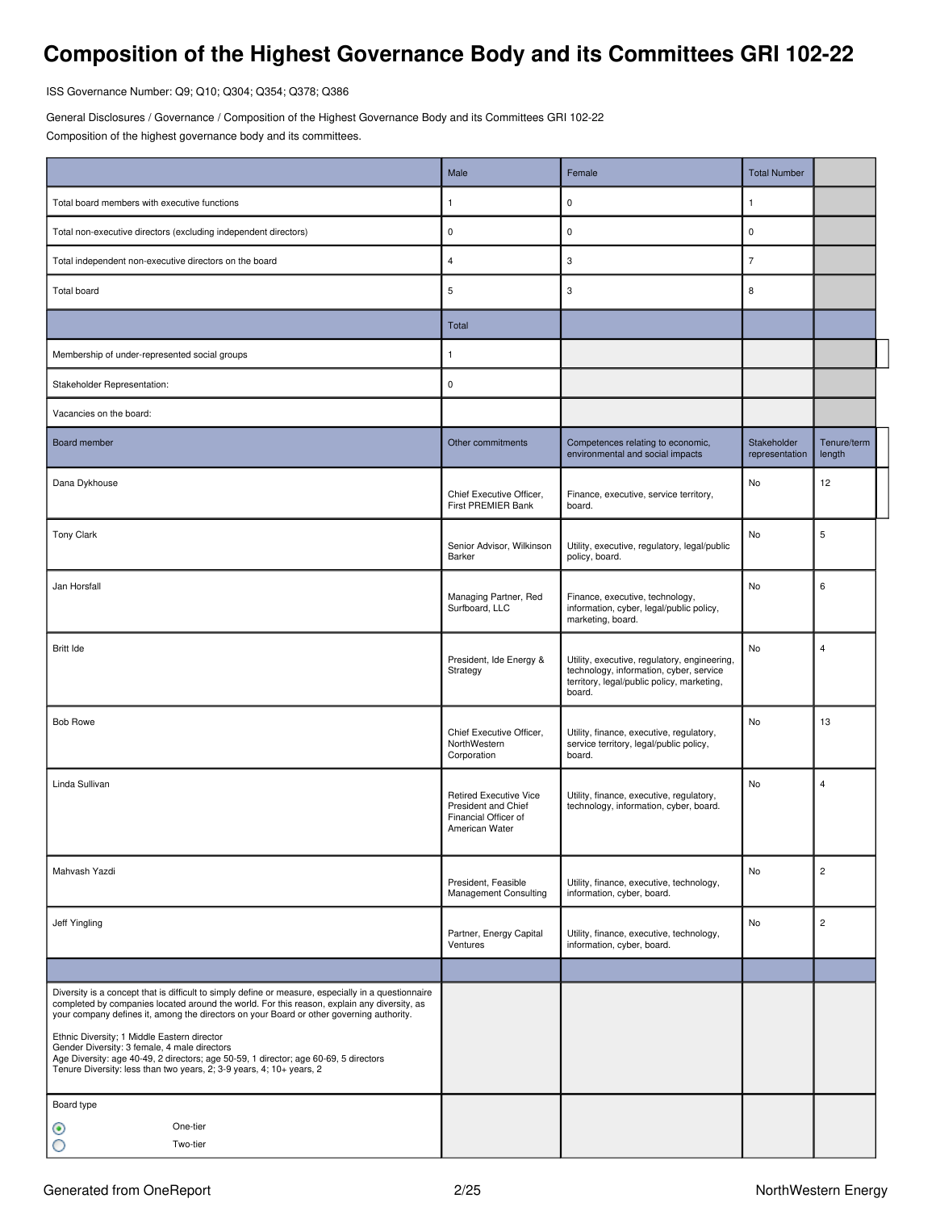# <span id="page-1-0"></span>**Composition of the Highest Governance Body and its Committees GRI 102-22**

ISS Governance Number: Q9; Q10; Q304; Q354; Q378; Q386

General Disclosures / Governance / Composition of the Highest Governance Body and its Committees GRI 102-22 Composition of the highest governance body and its committees.

|                                                                                                                                                                                                                                                                                                                                                                                                                                                                                                                                                               | Male                                                                                           | Female                                                                                                                                          | <b>Total Number</b>           |                       |
|---------------------------------------------------------------------------------------------------------------------------------------------------------------------------------------------------------------------------------------------------------------------------------------------------------------------------------------------------------------------------------------------------------------------------------------------------------------------------------------------------------------------------------------------------------------|------------------------------------------------------------------------------------------------|-------------------------------------------------------------------------------------------------------------------------------------------------|-------------------------------|-----------------------|
| Total board members with executive functions                                                                                                                                                                                                                                                                                                                                                                                                                                                                                                                  | 1                                                                                              | $\pmb{0}$                                                                                                                                       | $\mathbf{1}$                  |                       |
| Total non-executive directors (excluding independent directors)                                                                                                                                                                                                                                                                                                                                                                                                                                                                                               | 0                                                                                              | $\pmb{0}$                                                                                                                                       | $\mathsf 0$                   |                       |
| Total independent non-executive directors on the board                                                                                                                                                                                                                                                                                                                                                                                                                                                                                                        | 4                                                                                              | 3                                                                                                                                               | $\overline{7}$                |                       |
| <b>Total board</b>                                                                                                                                                                                                                                                                                                                                                                                                                                                                                                                                            | 5                                                                                              | 3                                                                                                                                               | 8                             |                       |
|                                                                                                                                                                                                                                                                                                                                                                                                                                                                                                                                                               | Total                                                                                          |                                                                                                                                                 |                               |                       |
| Membership of under-represented social groups                                                                                                                                                                                                                                                                                                                                                                                                                                                                                                                 | 1                                                                                              |                                                                                                                                                 |                               |                       |
| Stakeholder Representation:                                                                                                                                                                                                                                                                                                                                                                                                                                                                                                                                   | 0                                                                                              |                                                                                                                                                 |                               |                       |
| Vacancies on the board:                                                                                                                                                                                                                                                                                                                                                                                                                                                                                                                                       |                                                                                                |                                                                                                                                                 |                               |                       |
| Board member                                                                                                                                                                                                                                                                                                                                                                                                                                                                                                                                                  | Other commitments                                                                              | Competences relating to economic,<br>environmental and social impacts                                                                           | Stakeholder<br>representation | Tenure/term<br>length |
| Dana Dykhouse                                                                                                                                                                                                                                                                                                                                                                                                                                                                                                                                                 | Chief Executive Officer,<br>First PREMIER Bank                                                 | Finance, executive, service territory,<br>board.                                                                                                | No                            | 12                    |
| Tony Clark                                                                                                                                                                                                                                                                                                                                                                                                                                                                                                                                                    | Senior Advisor, Wilkinson<br>Barker                                                            | Utility, executive, regulatory, legal/public<br>policy, board.                                                                                  | No                            | 5                     |
| Jan Horsfall                                                                                                                                                                                                                                                                                                                                                                                                                                                                                                                                                  | Managing Partner, Red<br>Surfboard, LLC                                                        | Finance, executive, technology,<br>information, cyber, legal/public policy,<br>marketing, board.                                                | No                            | 6                     |
| <b>Britt Ide</b>                                                                                                                                                                                                                                                                                                                                                                                                                                                                                                                                              | President, Ide Energy &<br>Strategy                                                            | Utility, executive, regulatory, engineering,<br>technology, information, cyber, service<br>territory, legal/public policy, marketing,<br>board. | No                            | $\overline{4}$        |
| <b>Bob Rowe</b>                                                                                                                                                                                                                                                                                                                                                                                                                                                                                                                                               | Chief Executive Officer,<br>NorthWestern<br>Corporation                                        | Utility, finance, executive, regulatory,<br>service territory, legal/public policy,<br>board.                                                   | No                            | 13                    |
| Linda Sullivan                                                                                                                                                                                                                                                                                                                                                                                                                                                                                                                                                | <b>Retired Executive Vice</b><br>President and Chief<br>Financial Officer of<br>American Water | Utility, finance, executive, regulatory,<br>technology, information, cyber, board.                                                              | <b>No</b>                     | 4                     |
| Mahvash Yazdi                                                                                                                                                                                                                                                                                                                                                                                                                                                                                                                                                 | President, Feasible<br><b>Management Consulting</b>                                            | Utility, finance, executive, technology,<br>information, cyber, board.                                                                          | No                            | $\overline{c}$        |
| Jeff Yingling                                                                                                                                                                                                                                                                                                                                                                                                                                                                                                                                                 | Partner, Energy Capital<br>Ventures                                                            | Utility, finance, executive, technology,<br>information, cyber, board.                                                                          | No                            | $\overline{c}$        |
|                                                                                                                                                                                                                                                                                                                                                                                                                                                                                                                                                               |                                                                                                |                                                                                                                                                 |                               |                       |
| Diversity is a concept that is difficult to simply define or measure, especially in a questionnaire<br>completed by companies located around the world. For this reason, explain any diversity, as<br>your company defines it, among the directors on your Board or other governing authority.<br>Ethnic Diversity; 1 Middle Eastern director<br>Gender Diversity: 3 female, 4 male directors<br>Age Diversity: age 40-49, 2 directors; age 50-59, 1 director; age 60-69, 5 directors<br>Tenure Diversity: less than two years, 2; 3-9 years, 4; 10+ years, 2 |                                                                                                |                                                                                                                                                 |                               |                       |
| Board type<br>One-tier<br>◉<br>Two-tier                                                                                                                                                                                                                                                                                                                                                                                                                                                                                                                       |                                                                                                |                                                                                                                                                 |                               |                       |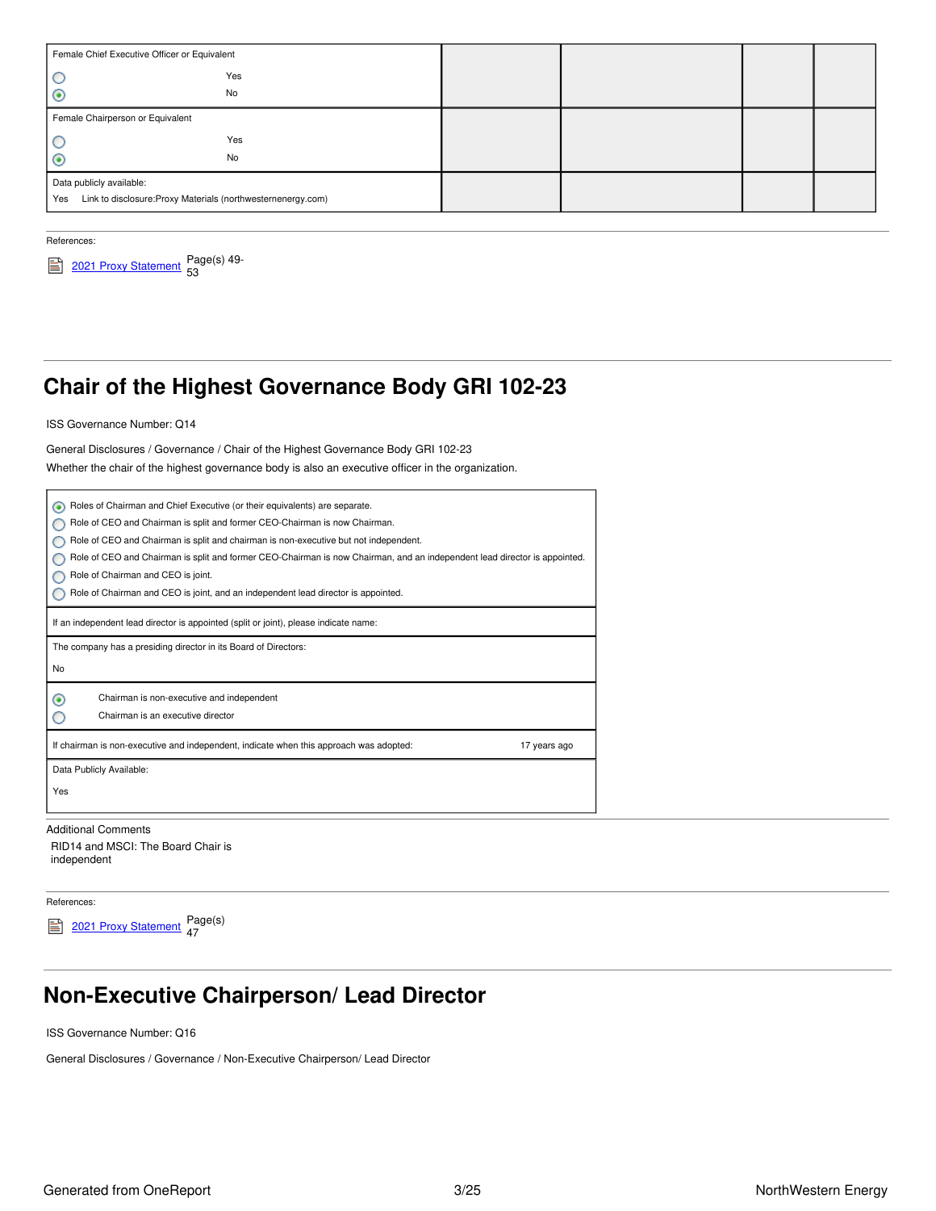| Female Chief Executive Officer or Equivalent                        |     |  |  |
|---------------------------------------------------------------------|-----|--|--|
|                                                                     | Yes |  |  |
| $_{\odot}$                                                          | No  |  |  |
| Female Chairperson or Equivalent                                    |     |  |  |
| C                                                                   | Yes |  |  |
| $_{\odot}$                                                          | No  |  |  |
| Data publicly available:                                            |     |  |  |
| Link to disclosure: Proxy Materials (northwesternenergy.com)<br>Yes |     |  |  |
|                                                                     |     |  |  |

References:



# <span id="page-2-0"></span>**Chair of the Highest Governance Body GRI 102-23**

ISS Governance Number: Q14

General Disclosures / Governance / Chair of the Highest Governance Body GRI 102-23

Whether the chair of the highest governance body is also an executive officer in the organization.

| Roles of Chairman and Chief Executive (or their equivalents) are separate.<br>۰                                           |              |
|---------------------------------------------------------------------------------------------------------------------------|--------------|
| Role of CEO and Chairman is split and former CEO-Chairman is now Chairman.                                                |              |
| Role of CEO and Chairman is split and chairman is non-executive but not independent.                                      |              |
| Role of CEO and Chairman is split and former CEO-Chairman is now Chairman, and an independent lead director is appointed. |              |
| Role of Chairman and CEO is joint.                                                                                        |              |
| Role of Chairman and CEO is joint, and an independent lead director is appointed.                                         |              |
| If an independent lead director is appointed (split or joint), please indicate name:                                      |              |
| The company has a presiding director in its Board of Directors:                                                           |              |
| No                                                                                                                        |              |
| Chairman is non-executive and independent<br>◉                                                                            |              |
| Chairman is an executive director                                                                                         |              |
| If chairman is non-executive and independent, indicate when this approach was adopted:                                    | 17 years ago |
| Data Publicly Available:                                                                                                  |              |
| Yes                                                                                                                       |              |
|                                                                                                                           |              |
| <b>Additional Comments</b>                                                                                                |              |
|                                                                                                                           |              |

RID14 and MSCI: The Board Chair is independent

References:

2021 Proxy [Statement](https://www.northwesternenergy.com/docs/default-source/documents/proxy/2021-Proxy-Statement-Final.pdf) Page(s) 47

# <span id="page-2-1"></span>**Non-Executive Chairperson/ Lead Director**

ISS Governance Number: Q16

General Disclosures / Governance / Non-Executive Chairperson/ Lead Director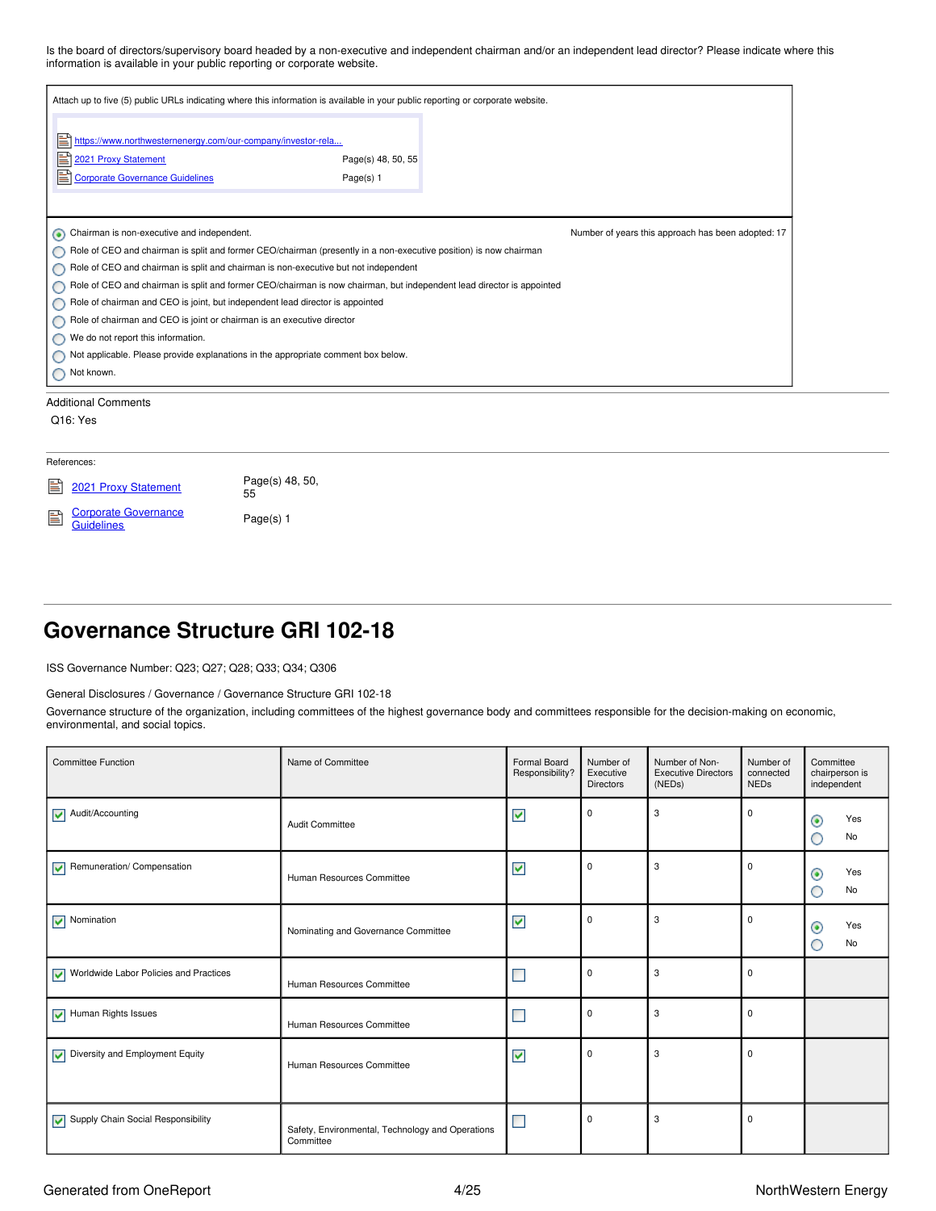Is the board of directors/supervisory board headed by a non-executive and independent chairman and/or an independent lead director? Please indicate where this information is available in your public reporting or corporate website.

| Attach up to five (5) public URLs indicating where this information is available in your public reporting or corporate website.               |                                 |                                                    |  |
|-----------------------------------------------------------------------------------------------------------------------------------------------|---------------------------------|----------------------------------------------------|--|
| E<br>https://www.northwesternenergy.com/our-company/investor-rela<br>匩<br>2021 Proxy Statement<br>Ħ<br><b>Corporate Governance Guidelines</b> | Page(s) 48, 50, 55<br>Page(s) 1 |                                                    |  |
| Chairman is non-executive and independent.<br>◉                                                                                               |                                 | Number of years this approach has been adopted: 17 |  |
| Role of CEO and chairman is split and former CEO/chairman (presently in a non-executive position) is now chairman                             |                                 |                                                    |  |
| Role of CEO and chairman is split and chairman is non-executive but not independent                                                           |                                 |                                                    |  |
| Role of CEO and chairman is split and former CEO/chairman is now chairman, but independent lead director is appointed<br>O                    |                                 |                                                    |  |
| Role of chairman and CEO is joint, but independent lead director is appointed                                                                 |                                 |                                                    |  |
| Role of chairman and CEO is joint or chairman is an executive director                                                                        |                                 |                                                    |  |
| We do not report this information.<br>Ο                                                                                                       |                                 |                                                    |  |
| Not applicable. Please provide explanations in the appropriate comment box below.                                                             |                                 |                                                    |  |
| Not known.                                                                                                                                    |                                 |                                                    |  |
| <b>Additional Comments</b>                                                                                                                    |                                 |                                                    |  |
| Q <sub>16</sub> : Yes                                                                                                                         |                                 |                                                    |  |
| References:                                                                                                                                   |                                 |                                                    |  |

| <b>E</b> 2021 Proxy Statement      | Page(s) 48, 50,<br>55 |
|------------------------------------|-----------------------|
| Gorporate Governance<br>Guidelines | Page(s) 1             |

## <span id="page-3-0"></span>**Governance Structure GRI 102-18**

ISS Governance Number: Q23; Q27; Q28; Q33; Q34; Q306

#### General Disclosures / Governance / Governance Structure GRI 102-18

Governance structure of the organization, including committees of the highest governance body and committees responsible for the decision-making on economic, environmental, and social topics.

| <b>Committee Function</b>                        | Name of Committee                                             | Formal Board<br>Responsibility? | Number of<br>Executive<br><b>Directors</b> | Number of Non-<br><b>Executive Directors</b><br>(NEDs) | Number of<br>connected<br><b>NEDs</b> | Committee<br>chairperson is<br>independent |
|--------------------------------------------------|---------------------------------------------------------------|---------------------------------|--------------------------------------------|--------------------------------------------------------|---------------------------------------|--------------------------------------------|
| Audit/Accounting                                 | Audit Committee                                               | ⊻                               | $\mathbf 0$                                | 3                                                      | $\mathbf 0$                           | Yes<br>◉<br>No<br>O                        |
| Remuneration/Compensation                        | Human Resources Committee                                     | $\blacktriangledown$            | 0                                          | 3                                                      | 0                                     | Yes<br>$_{\odot}$<br>No<br>O               |
| $\sqrt{\phantom{a}}$ Nomination                  | Nominating and Governance Committee                           | $\blacktriangledown$            | $\mathbf 0$                                | 3                                                      | 0                                     | Yes<br>$_{\odot}$<br>No                    |
| V Worldwide Labor Policies and Practices         | Human Resources Committee                                     | $\blacksquare$                  | $\mathbf 0$                                | 3                                                      | $\mathbf 0$                           |                                            |
| Human Rights Issues                              | Human Resources Committee                                     | $\mathbb{R}^n$                  | $\pmb{0}$                                  | 3                                                      | 0                                     |                                            |
| $\triangleright$ Diversity and Employment Equity | Human Resources Committee                                     | $\blacktriangledown$            | $\mathbf 0$                                | 3                                                      | $\mathbf 0$                           |                                            |
| Supply Chain Social Responsibility               | Safety, Environmental, Technology and Operations<br>Committee | <b>In</b>                       | $\mathbf 0$                                | 3                                                      | 0                                     |                                            |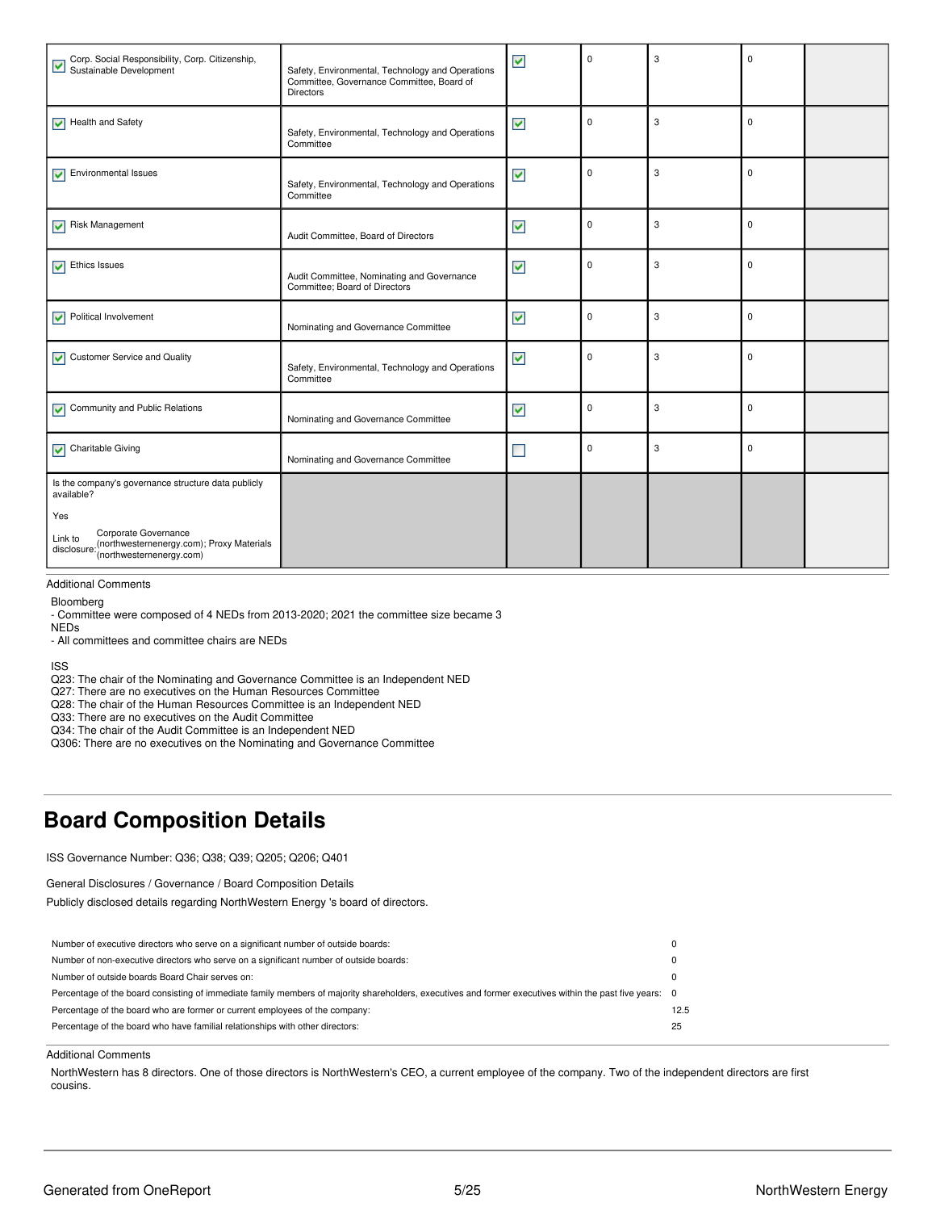| Corp. Social Responsibility, Corp. Citizenship,<br>Sustainable Development                                                                                              | Safety, Environmental, Technology and Operations<br>Committee, Governance Committee, Board of<br><b>Directors</b> | $\blacktriangledown$     | $\mathbf 0$ | 3 | $\mathbf 0$ |  |
|-------------------------------------------------------------------------------------------------------------------------------------------------------------------------|-------------------------------------------------------------------------------------------------------------------|--------------------------|-------------|---|-------------|--|
| $\blacktriangleright$ Health and Safety                                                                                                                                 | Safety, Environmental, Technology and Operations<br>Committee                                                     | ⊻                        | $\mathbf 0$ | 3 | $\mathbf 0$ |  |
| $\sqrt{\phantom{a}}$ Environmental Issues                                                                                                                               | Safety, Environmental, Technology and Operations<br>Committee                                                     | $\checkmark$             | $\mathbf 0$ | 3 | $\mathbf 0$ |  |
| Risk Management                                                                                                                                                         | Audit Committee, Board of Directors                                                                               | $\blacktriangledown$     | $\mathbf 0$ | 3 | $\mathbf 0$ |  |
| $\sqrt{\phantom{a}}$ Ethics Issues                                                                                                                                      | Audit Committee, Nominating and Governance<br>Committee; Board of Directors                                       | $\blacktriangledown$     | $\mathbf 0$ | 3 | $\mathbf 0$ |  |
| Political Involvement                                                                                                                                                   | Nominating and Governance Committee                                                                               | ⊻                        | $\mathbf 0$ | 3 | $\mathbf 0$ |  |
| Customer Service and Quality                                                                                                                                            | Safety, Environmental, Technology and Operations<br>Committee                                                     | $\blacktriangledown$     | $\mathbf 0$ | 3 | $\mathbf 0$ |  |
| Community and Public Relations<br>⊽                                                                                                                                     | Nominating and Governance Committee                                                                               | $\blacktriangledown$     | $\mathbf 0$ | 3 | $\mathbf 0$ |  |
| $\sqrt{\phantom{a}}$ Charitable Giving                                                                                                                                  | Nominating and Governance Committee                                                                               | $\overline{\phantom{a}}$ | $\mathbf 0$ | 3 | $\mathbf 0$ |  |
| Is the company's governance structure data publicly<br>available?<br>Yes<br>Corporate Governance<br>Link to<br>(northwesternenergy.com); Proxy Materials<br>disclosure: |                                                                                                                   |                          |             |   |             |  |
| (northwesternenergy.com)                                                                                                                                                |                                                                                                                   |                          |             |   |             |  |

#### Additional Comments

Bloomberg

- Committee were composed of 4 NEDs from 2013-2020; 2021 the committee size became 3

NEDs

- All committees and committee chairs are NEDs

ISS

Q23: The chair of the Nominating and Governance Committee is an Independent NED

Q27: There are no executives on the Human Resources Committee

Q28: The chair of the Human Resources Committee is an Independent NED

Q33: There are no executives on the Audit Committee

Q34: The chair of the Audit Committee is an Independent NED

Q306: There are no executives on the Nominating and Governance Committee

## <span id="page-4-0"></span>**Board Composition Details**

ISS Governance Number: Q36; Q38; Q39; Q205; Q206; Q401

General Disclosures / Governance / Board Composition Details

Publicly disclosed details regarding NorthWestern Energy 's board of directors.

| Percentage of the board consisting of immediate family members of majority shareholders, executives and former executives within the past five years: 0 |
|---------------------------------------------------------------------------------------------------------------------------------------------------------|
| 12.5                                                                                                                                                    |
| 25                                                                                                                                                      |
|                                                                                                                                                         |

#### Additional Comments

NorthWestern has 8 directors. One of those directors is NorthWestern's CEO, a current employee of the company. Two of the independent directors are first cousins.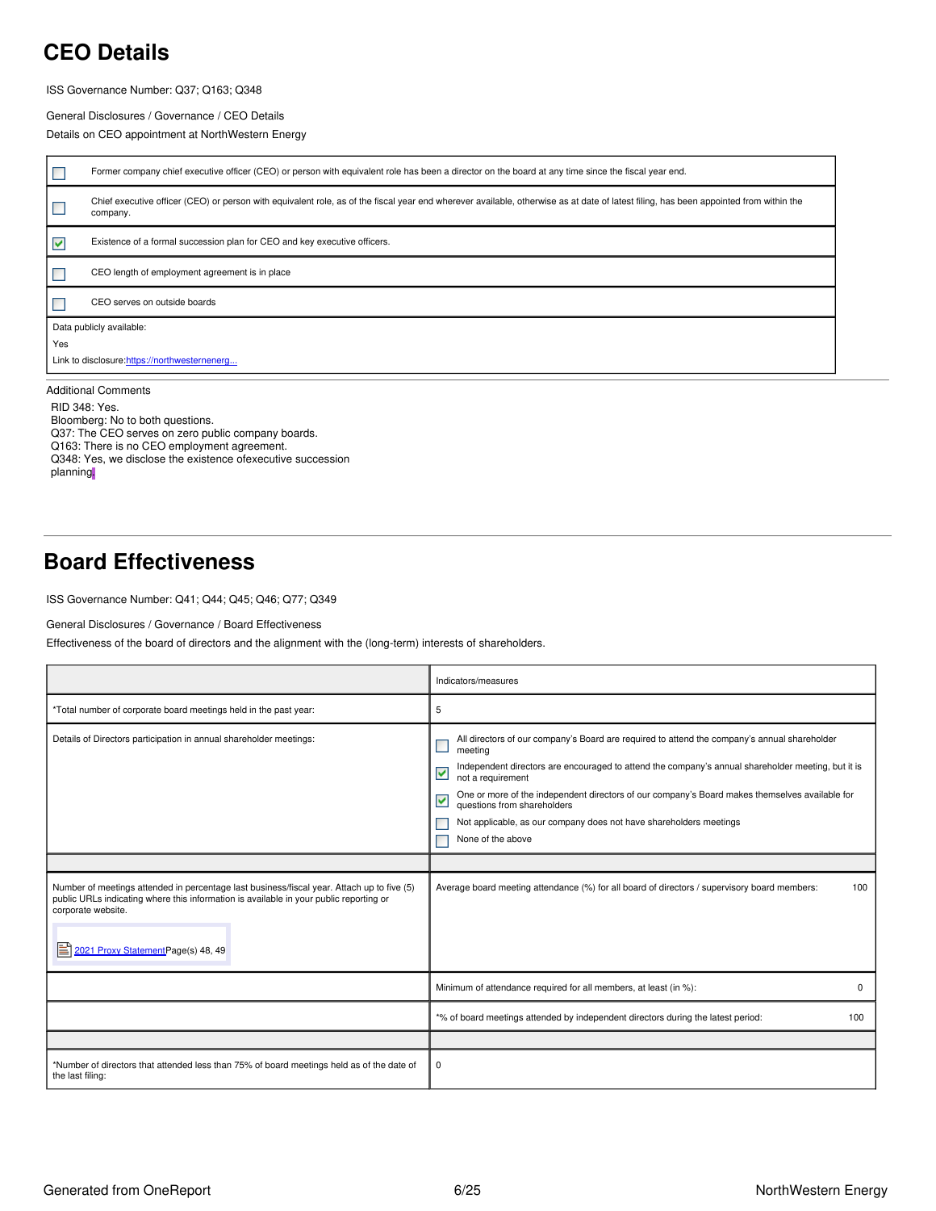## <span id="page-5-0"></span>**CEO Details**

ISS Governance Number: Q37; Q163; Q348

General Disclosures / Governance / CEO Details

Details on CEO appointment at NorthWestern Energy

|     | Former company chief executive officer (CEO) or person with equivalent role has been a director on the board at any time since the fiscal year end.                                               |  |  |  |  |
|-----|---------------------------------------------------------------------------------------------------------------------------------------------------------------------------------------------------|--|--|--|--|
|     | Chief executive officer (CEO) or person with equivalent role, as of the fiscal year end wherever available, otherwise as at date of latest filing, has been appointed from within the<br>company. |  |  |  |  |
| M   | Existence of a formal succession plan for CEO and key executive officers.                                                                                                                         |  |  |  |  |
|     | CEO length of employment agreement is in place                                                                                                                                                    |  |  |  |  |
|     | CEO serves on outside boards                                                                                                                                                                      |  |  |  |  |
|     | Data publicly available:                                                                                                                                                                          |  |  |  |  |
| Yes |                                                                                                                                                                                                   |  |  |  |  |
|     | Link to disclosure: https://northwesternenerg                                                                                                                                                     |  |  |  |  |
|     | <b>Additional Comments</b>                                                                                                                                                                        |  |  |  |  |

RID 348: Yes. Bloomberg: No to both questions. Q37: The CEO serves on zero public company boards. Q163: There is no CEO employment agreement. Q348: Yes, we disclose the existence ofexecutive succession planning.

## <span id="page-5-1"></span>**Board Effectiveness**

ISS Governance Number: Q41; Q44; Q45; Q46; Q77; Q349

General Disclosures / Governance / Board Effectiveness

Effectiveness of the board of directors and the alignment with the (long-term) interests of shareholders.

|                                                                                                                                                                                                                                                         | Indicators/measures                                                                                                                                                                                                                                                                                                                                                                                                                                                      |
|---------------------------------------------------------------------------------------------------------------------------------------------------------------------------------------------------------------------------------------------------------|--------------------------------------------------------------------------------------------------------------------------------------------------------------------------------------------------------------------------------------------------------------------------------------------------------------------------------------------------------------------------------------------------------------------------------------------------------------------------|
| *Total number of corporate board meetings held in the past year:                                                                                                                                                                                        | 5                                                                                                                                                                                                                                                                                                                                                                                                                                                                        |
| Details of Directors participation in annual shareholder meetings:                                                                                                                                                                                      | All directors of our company's Board are required to attend the company's annual shareholder<br>meeting<br>Independent directors are encouraged to attend the company's annual shareholder meeting, but it is<br>⊻<br>not a requirement<br>One or more of the independent directors of our company's Board makes themselves available for<br>V<br>questions from shareholders<br>Not applicable, as our company does not have shareholders meetings<br>None of the above |
|                                                                                                                                                                                                                                                         |                                                                                                                                                                                                                                                                                                                                                                                                                                                                          |
| Number of meetings attended in percentage last business/fiscal year. Attach up to five (5)<br>public URLs indicating where this information is available in your public reporting or<br>corporate website.<br>2021 Proxy Statement Page(s) 48, 49<br>Ei | Average board meeting attendance (%) for all board of directors / supervisory board members:<br>100                                                                                                                                                                                                                                                                                                                                                                      |
|                                                                                                                                                                                                                                                         | Minimum of attendance required for all members, at least (in %):<br>0                                                                                                                                                                                                                                                                                                                                                                                                    |
|                                                                                                                                                                                                                                                         | *% of board meetings attended by independent directors during the latest period:<br>100                                                                                                                                                                                                                                                                                                                                                                                  |
|                                                                                                                                                                                                                                                         |                                                                                                                                                                                                                                                                                                                                                                                                                                                                          |
| *Number of directors that attended less than 75% of board meetings held as of the date of<br>the last filing:                                                                                                                                           | 0                                                                                                                                                                                                                                                                                                                                                                                                                                                                        |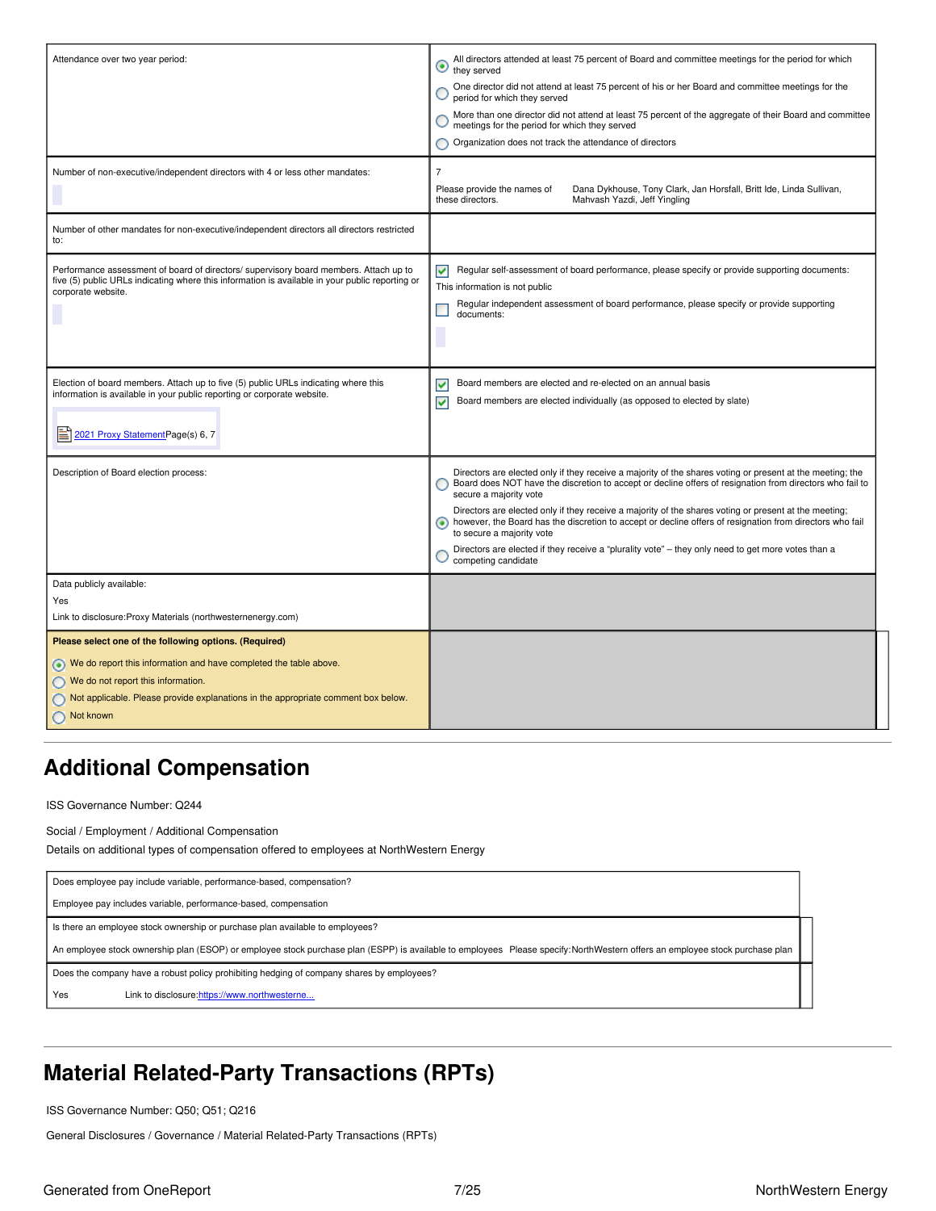| Attendance over two year period:                                                                                                                                                         | All directors attended at least 75 percent of Board and committee meetings for the period for which<br>◉<br>they served                                                                                                                                                    |
|------------------------------------------------------------------------------------------------------------------------------------------------------------------------------------------|----------------------------------------------------------------------------------------------------------------------------------------------------------------------------------------------------------------------------------------------------------------------------|
|                                                                                                                                                                                          | One director did not attend at least 75 percent of his or her Board and committee meetings for the<br>period for which they served                                                                                                                                         |
|                                                                                                                                                                                          | More than one director did not attend at least 75 percent of the aggregate of their Board and committee<br>meetings for the period for which they served                                                                                                                   |
|                                                                                                                                                                                          | Organization does not track the attendance of directors                                                                                                                                                                                                                    |
| Number of non-executive/independent directors with 4 or less other mandates:                                                                                                             | $\overline{7}$                                                                                                                                                                                                                                                             |
|                                                                                                                                                                                          | Please provide the names of<br>Dana Dykhouse, Tony Clark, Jan Horsfall, Britt Ide, Linda Sullivan,<br>these directors.<br>Mahvash Yazdi, Jeff Yingling                                                                                                                     |
| Number of other mandates for non-executive/independent directors all directors restricted<br>to:                                                                                         |                                                                                                                                                                                                                                                                            |
| Performance assessment of board of directors/ supervisory board members. Attach up to<br>five (5) public URLs indicating where this information is available in your public reporting or | Regular self-assessment of board performance, please specify or provide supporting documents:<br>⊽                                                                                                                                                                         |
| corporate website.                                                                                                                                                                       | This information is not public                                                                                                                                                                                                                                             |
|                                                                                                                                                                                          | Regular independent assessment of board performance, please specify or provide supporting<br>documents:                                                                                                                                                                    |
|                                                                                                                                                                                          |                                                                                                                                                                                                                                                                            |
|                                                                                                                                                                                          |                                                                                                                                                                                                                                                                            |
| Election of board members. Attach up to five (5) public URLs indicating where this                                                                                                       | Board members are elected and re-elected on an annual basis<br>⊽                                                                                                                                                                                                           |
| information is available in your public reporting or corporate website.                                                                                                                  | Board members are elected individually (as opposed to elected by slate)<br>▿                                                                                                                                                                                               |
| 2021 Proxy Statement Page(s) 6, 7                                                                                                                                                        |                                                                                                                                                                                                                                                                            |
|                                                                                                                                                                                          |                                                                                                                                                                                                                                                                            |
| Description of Board election process:                                                                                                                                                   | Directors are elected only if they receive a majority of the shares voting or present at the meeting; the<br>Board does NOT have the discretion to accept or decline offers of resignation from directors who fail to<br>secure a majority vote                            |
|                                                                                                                                                                                          | Directors are elected only if they receive a majority of the shares voting or present at the meeting;<br>however, the Board has the discretion to accept or decline offers of resignation from directors who fail<br>$\left( \bullet \right)$<br>to secure a majority vote |
|                                                                                                                                                                                          | Directors are elected if they receive a "plurality vote" - they only need to get more votes than a<br>competing candidate                                                                                                                                                  |
| Data publicly available:                                                                                                                                                                 |                                                                                                                                                                                                                                                                            |
| Yes<br>Link to disclosure: Proxy Materials (northwesternenergy.com)                                                                                                                      |                                                                                                                                                                                                                                                                            |
| Please select one of the following options. (Required)                                                                                                                                   |                                                                                                                                                                                                                                                                            |
| We do report this information and have completed the table above.                                                                                                                        |                                                                                                                                                                                                                                                                            |
| We do not report this information.                                                                                                                                                       |                                                                                                                                                                                                                                                                            |
| Not applicable. Please provide explanations in the appropriate comment box below.                                                                                                        |                                                                                                                                                                                                                                                                            |
| Not known                                                                                                                                                                                |                                                                                                                                                                                                                                                                            |

## <span id="page-6-0"></span>**Additional Compensation**

ISS Governance Number: Q244

Social / Employment / Additional Compensation Details on additional types of compensation offered to employees at NorthWestern Energy

Does employee pay include variable, performance-based, compensation? Employee pay includes variable, performance-based, compensation Is there an employee stock ownership or purchase plan available to employees? An employee stock ownership plan (ESOP) or employee stock purchase plan (ESPP) is available to employees Please specify:NorthWestern offers an employee stock purchase plan Does the company have a robust policy prohibiting hedging of company shares by employees? Yes Link to disclosure: [https://www.northwesterne...](https://www.northwesternenergy.com/docs/default-source/documents/investor/insider-trading-policy-2016-10-19.pdf)

## <span id="page-6-1"></span>**Material Related-Party Transactions (RPTs)**

ISS Governance Number: Q50; Q51; Q216

General Disclosures / Governance / Material Related-Party Transactions (RPTs)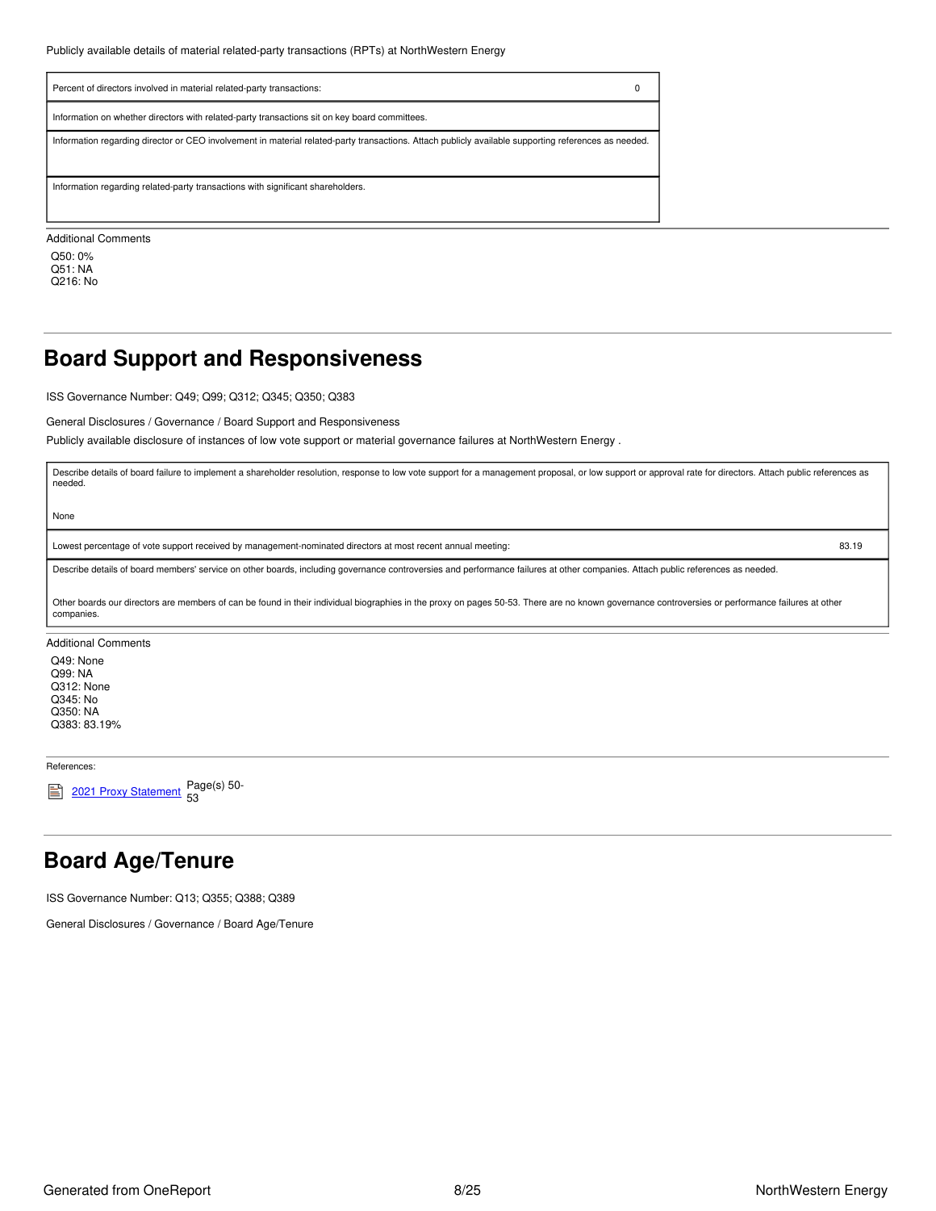| Percent of directors involved in material related-party transactions:                                                                                |  |
|------------------------------------------------------------------------------------------------------------------------------------------------------|--|
| Information on whether directors with related-party transactions sit on key board committees.                                                        |  |
| Information regarding director or CEO involvement in material related-party transactions. Attach publicly available supporting references as needed. |  |
| Information regarding related-party transactions with significant shareholders.                                                                      |  |
| <b>Additional Comments</b>                                                                                                                           |  |

Q50: 0% Q51: NA Q216: No

### <span id="page-7-0"></span>**Board Support and Responsiveness**

ISS Governance Number: Q49; Q99; Q312; Q345; Q350; Q383

General Disclosures / Governance / Board Support and Responsiveness

Publicly available disclosure of instances of low vote support or material governance failures at NorthWestern Energy .

Describe details of board failure to implement a shareholder resolution, response to low vote support for a management proposal, or low support or approval rate for directors. Attach public references as needed.

None

Lowest percentage of vote support received by management-nominated directors at most recent annual meeting: 83.19

Describe details of board members' service on other boards, including governance controversies and performance failures at other companies. Attach public references as needed.

Other boards our directors are members of can be found in their individual biographies in the proxy on pages 50-53. There are no known governance controversies or performance failures at other companies.

Additional Comments

Q49: None Q99: NA Q312: None Q345: No Q350: NA Q383: 83.19%

References:

2021 Proxy [Statement](https://www.northwesternenergy.com/docs/default-source/documents/proxy/2021-Proxy-Statement-Final.pdf) Page(s) 50-53

### <span id="page-7-1"></span>**Board Age/Tenure**

ISS Governance Number: Q13; Q355; Q388; Q389

General Disclosures / Governance / Board Age/Tenure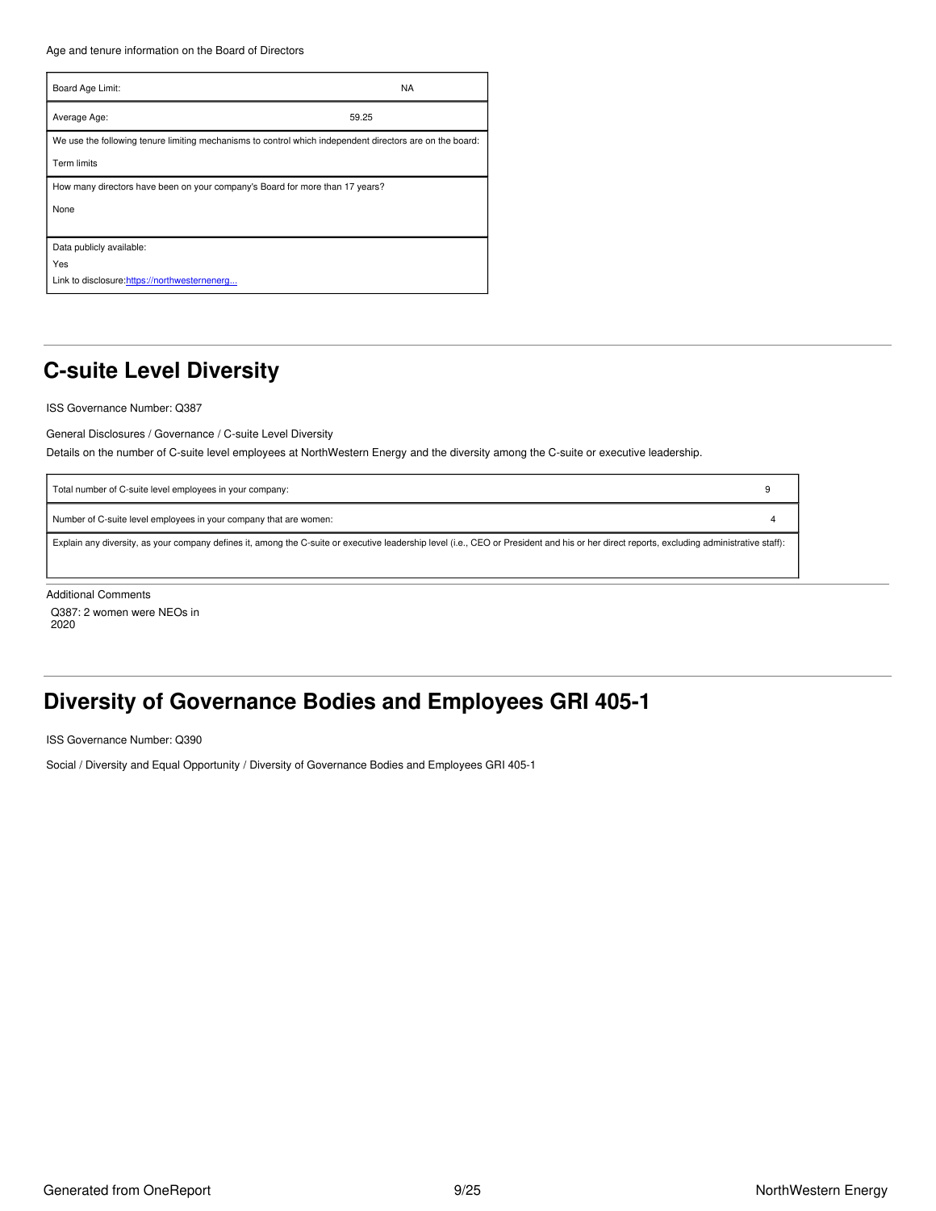Age and tenure information on the Board of Directors

| Board Age Limit:                                                                                                               | <b>NA</b> |
|--------------------------------------------------------------------------------------------------------------------------------|-----------|
| Average Age:                                                                                                                   | 59.25     |
| We use the following tenure limiting mechanisms to control which independent directors are on the board:<br><b>Term limits</b> |           |
| How many directors have been on your company's Board for more than 17 years?<br>None                                           |           |
| Data publicly available:<br>Yes<br>Link to disclosure:https://northwesternenerg                                                |           |

# <span id="page-8-0"></span>**C-suite Level Diversity**

ISS Governance Number: Q387

General Disclosures / Governance / C-suite Level Diversity

Details on the number of C-suite level employees at NorthWestern Energy and the diversity among the C-suite or executive leadership.

| Total number of C-suite level employees in your company:                                                                                                                                   |  |
|--------------------------------------------------------------------------------------------------------------------------------------------------------------------------------------------|--|
| Number of C-suite level employees in your company that are women:                                                                                                                          |  |
| Explain any diversity, as your company defines it, among the C-suite or executive leadership level (i.e., CEO or President and his or her direct reports, excluding administrative staff): |  |
|                                                                                                                                                                                            |  |
| Additional Occasionals                                                                                                                                                                     |  |

Additional Comments

Q387: 2 women were NEOs in 2020

# <span id="page-8-1"></span>**Diversity of Governance Bodies and Employees GRI 405-1**

ISS Governance Number: Q390

Social / Diversity and Equal Opportunity / Diversity of Governance Bodies and Employees GRI 405-1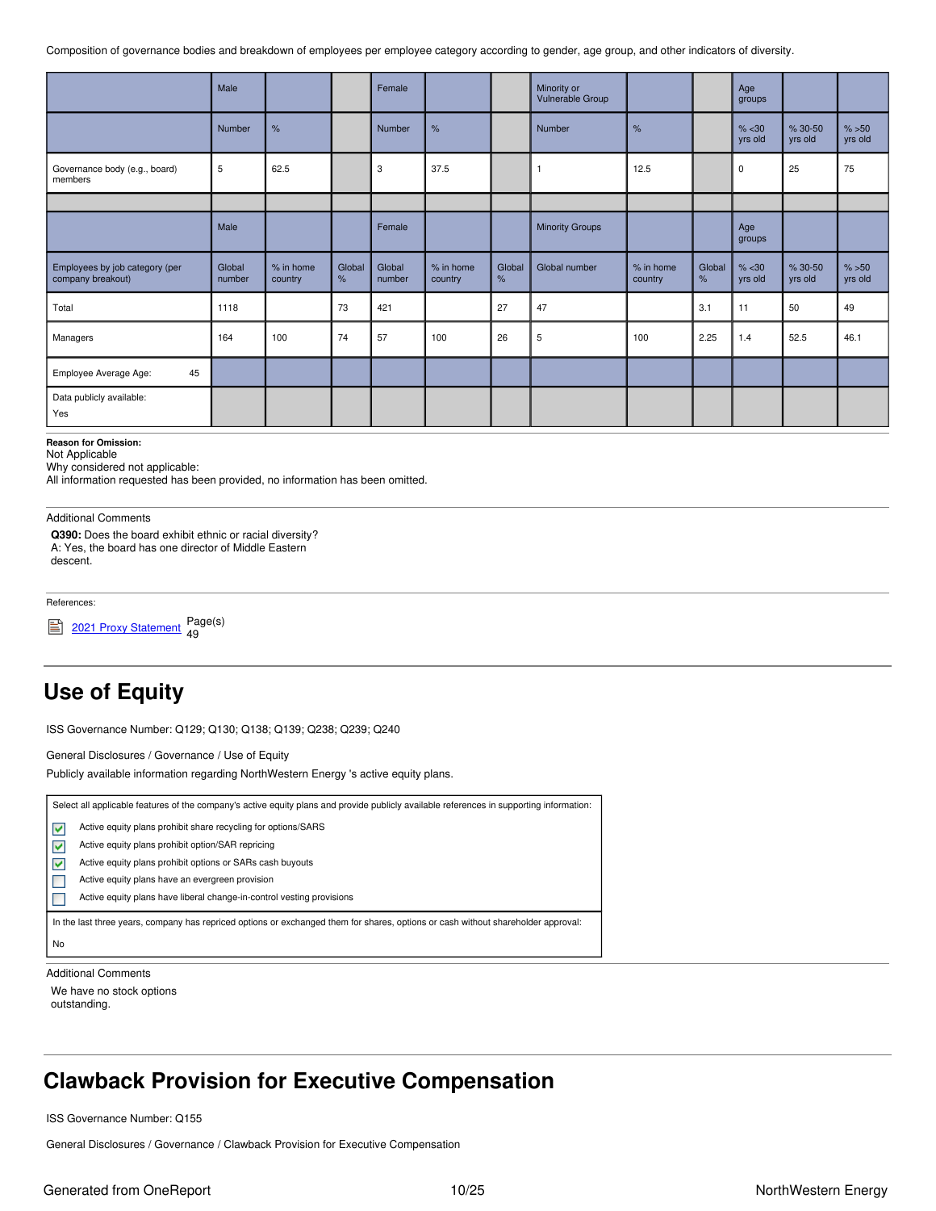Composition of governance bodies and breakdown of employees per employee category according to gender, age group, and other indicators of diversity.

|                                                     | Male             |                      |             | Female           |                      |             | Minority or<br>Vulnerable Group |                      |             | Age<br>groups     |                        |                  |
|-----------------------------------------------------|------------------|----------------------|-------------|------------------|----------------------|-------------|---------------------------------|----------------------|-------------|-------------------|------------------------|------------------|
|                                                     | Number           | %                    |             | <b>Number</b>    | %                    |             | Number                          | %                    |             | % < 30<br>yrs old | $% 30 - 50$<br>yrs old | % >50<br>yrs old |
| Governance body (e.g., board)<br>members            | 5                | 62.5                 |             | 3                | 37.5                 |             |                                 | 12.5                 |             | 0                 | 25                     | 75               |
|                                                     |                  |                      |             |                  |                      |             |                                 |                      |             |                   |                        |                  |
|                                                     | Male             |                      |             | Female           |                      |             | <b>Minority Groups</b>          |                      |             | Age<br>groups     |                        |                  |
| Employees by job category (per<br>company breakout) | Global<br>number | % in home<br>country | Global<br>% | Global<br>number | % in home<br>country | Global<br>% | Global number                   | % in home<br>country | Global<br>% | % < 30<br>yrs old | % 30-50<br>yrs old     | % >50<br>yrs old |
| Total                                               | 1118             |                      | 73          | 421              |                      | 27          | 47                              |                      | 3.1         | 11                | 50                     | 49               |
| Managers                                            | 164              | 100                  | 74          | 57               | 100                  | 26          | 5                               | 100                  | 2.25        | 1.4               | 52.5                   | 46.1             |
| 45<br>Employee Average Age:                         |                  |                      |             |                  |                      |             |                                 |                      |             |                   |                        |                  |
| Data publicly available:<br>Yes                     |                  |                      |             |                  |                      |             |                                 |                      |             |                   |                        |                  |

### **Reason for Omission:**

Not Applicable

Why considered not applicable:

All information requested has been provided, no information has been omitted.

Additional Comments

**Q390:** Does the board exhibit ethnic or racial diversity? A: Yes, the board has one director of Middle Eastern descent.

References:

2021 Proxy [Statement](https://www.northwesternenergy.com/docs/default-source/documents/proxy/2021-Proxy-Statement-Final.pdf) Page(s) 49

## <span id="page-9-0"></span>**Use of Equity**

ISS Governance Number: Q129; Q130; Q138; Q139; Q238; Q239; Q240

General Disclosures / Governance / Use of Equity

Publicly available information regarding NorthWestern Energy 's active equity plans.

|    | Select all applicable features of the company's active equity plans and provide publicly available references in supporting information: |
|----|------------------------------------------------------------------------------------------------------------------------------------------|
| M  | Active equity plans prohibit share recycling for options/SARS                                                                            |
| M  | Active equity plans prohibit option/SAR repricing                                                                                        |
| M  | Active equity plans prohibit options or SARs cash buyouts                                                                                |
|    | Active equity plans have an evergreen provision                                                                                          |
|    | Active equity plans have liberal change-in-control vesting provisions                                                                    |
|    | In the last three years, company has repriced options or exchanged them for shares, options or cash without shareholder approval:        |
| No |                                                                                                                                          |

Additional Comments

We have no stock options outstanding.

## <span id="page-9-1"></span>**Clawback Provision for Executive Compensation**

ISS Governance Number: Q155

General Disclosures / Governance / Clawback Provision for Executive Compensation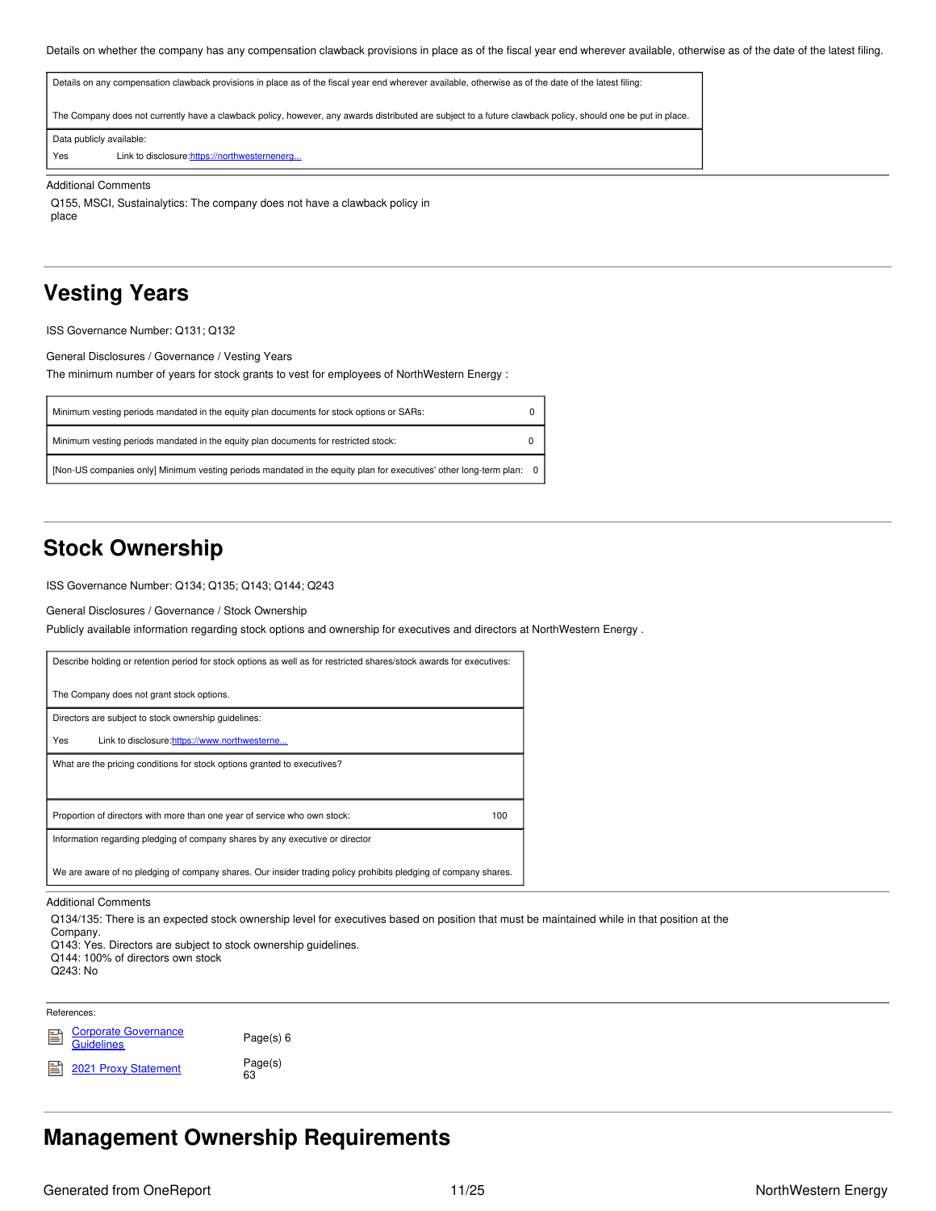Details on whether the company has any compensation clawback provisions in place as of the fiscal year end wherever available, otherwise as of the date of the latest filing.

| The Company does not currently have a clawback policy, however, any awards distributed are subject to a future clawback policy, should one be put in place.<br>Data publicly available:<br>Yes<br>Link to disclosure: https://northwesternenerg | Details on any compensation clawback provisions in place as of the fiscal year end wherever available, otherwise as of the date of the latest filing: |
|-------------------------------------------------------------------------------------------------------------------------------------------------------------------------------------------------------------------------------------------------|-------------------------------------------------------------------------------------------------------------------------------------------------------|
|                                                                                                                                                                                                                                                 |                                                                                                                                                       |
|                                                                                                                                                                                                                                                 |                                                                                                                                                       |
|                                                                                                                                                                                                                                                 |                                                                                                                                                       |

### Additional Comments

Q155, MSCI, Sustainalytics: The company does not have a clawback policy in place

### <span id="page-10-0"></span>**Vesting Years**

ISS Governance Number: Q131; Q132

General Disclosures / Governance / Vesting Years

The minimum number of years for stock grants to vest for employees of NorthWestern Energy :

| Minimum vesting periods mandated in the equity plan documents for stock options or SARs:                            |  |
|---------------------------------------------------------------------------------------------------------------------|--|
| Minimum vesting periods mandated in the equity plan documents for restricted stock:                                 |  |
| [Non-US companies only] Minimum vesting periods mandated in the equity plan for executives' other long-term plan: 0 |  |

### <span id="page-10-1"></span>**Stock Ownership**

ISS Governance Number: Q134; Q135; Q143; Q144; Q243

General Disclosures / Governance / Stock Ownership

Publicly available information regarding stock options and ownership for executives and directors at NorthWestern Energy .

| Describe holding or retention period for stock options as well as for restricted shares/stock awards for executives: |     |
|----------------------------------------------------------------------------------------------------------------------|-----|
| The Company does not grant stock options.                                                                            |     |
| Directors are subject to stock ownership quidelines:                                                                 |     |
| Yes<br>Link to disclosure:https://www.northwesterne                                                                  |     |
| What are the pricing conditions for stock options granted to executives?                                             |     |
|                                                                                                                      |     |
| Proportion of directors with more than one year of service who own stock:                                            | 100 |
| Information regarding pledging of company shares by any executive or director                                        |     |
| We are aware of no pledging of company shares. Our insider trading policy prohibits pledging of company shares.      |     |

### Additional Comments

Q134/135: There is an expected stock ownership level for executives based on position that must be maintained while in that position at the

Company. Q143: Yes. Directors are subject to stock ownership guidelines.

Q144: 100% of directors own stock

Q243: No

References:

Corporate [Governance](https://www.northwesternenergy.com/docs/default-source/default-document-library/about-us/investors/governance/corporate-governance-guidelines-2020-10-01.pdf?sfvrsn=5fc87b78_9) 菖 **Guidelines** 

2021 Proxy [Statement](https://www.northwesternenergy.com/docs/default-source/documents/proxy/2021-Proxy-Statement-Final.pdf)

Page(s) 6 Page(s) 63

## <span id="page-10-2"></span>**Management Ownership Requirements**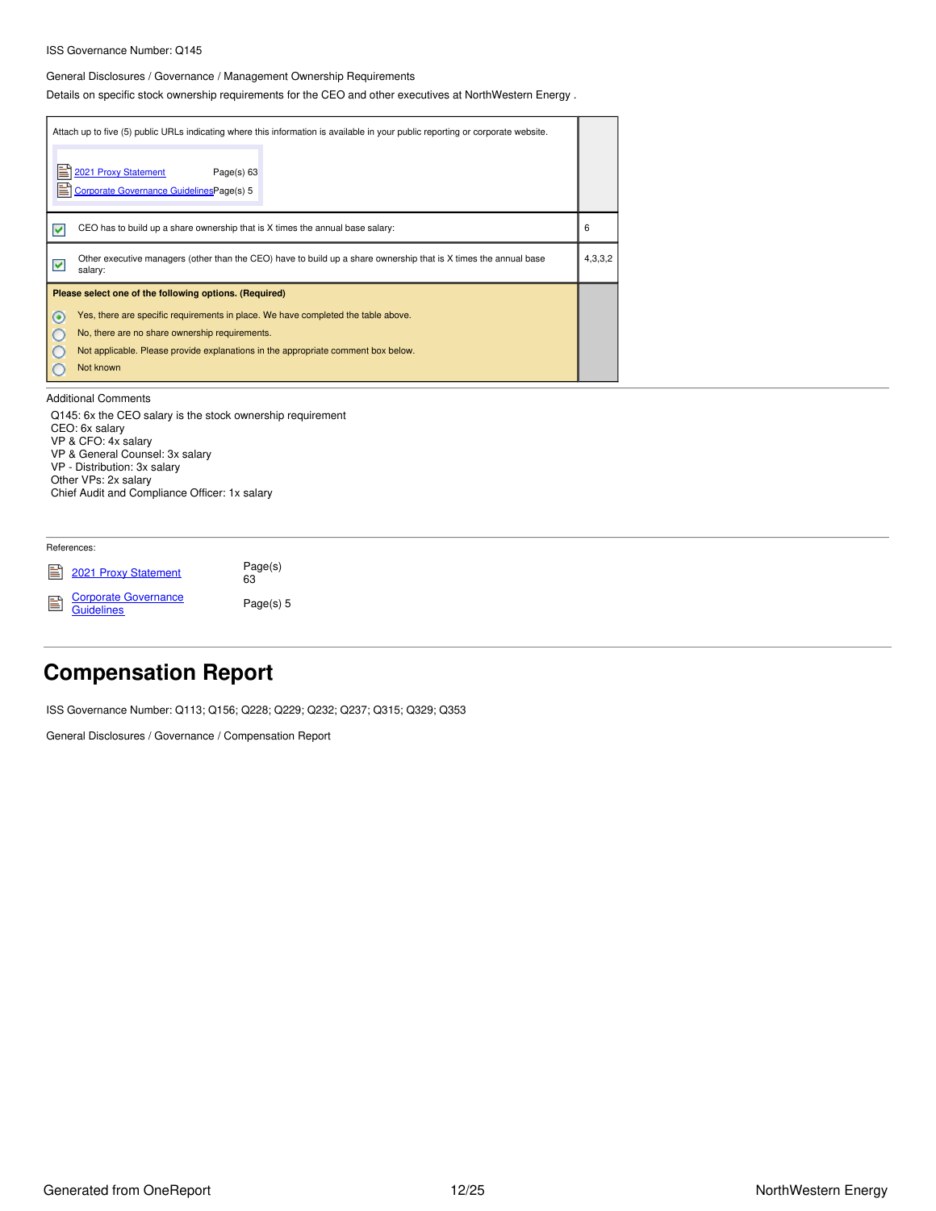### ISS Governance Number: Q145

### General Disclosures / Governance / Management Ownership Requirements

Details on specific stock ownership requirements for the CEO and other executives at NorthWestern Energy .

| Attach up to five (5) public URLs indicating where this information is available in your public reporting or corporate website.<br>E<br>2021 Proxy Statement<br>Page(s) 63<br>E<br>Corporate Governance GuidelinesPage(s) 5                                                                                                                        |         |  |
|----------------------------------------------------------------------------------------------------------------------------------------------------------------------------------------------------------------------------------------------------------------------------------------------------------------------------------------------------|---------|--|
| CEO has to build up a share ownership that is X times the annual base salary:<br>⊽                                                                                                                                                                                                                                                                 | 6       |  |
| Other executive managers (other than the CEO) have to build up a share ownership that is X times the annual base<br>V<br>salary:                                                                                                                                                                                                                   | 4,3,3,2 |  |
| Please select one of the following options. (Required)<br>Yes, there are specific requirements in place. We have completed the table above.<br>$\circledcirc$<br>No, there are no share ownership requirements.<br>$\circ$<br>Not applicable. Please provide explanations in the appropriate comment box below.<br>$\circ$<br>$\circ$<br>Not known |         |  |
| <b>Additional Comments</b><br>Q145: 6x the CEO salary is the stock ownership requirement<br>CEO: 6x salary<br>VP & CFO: 4x salary<br>VP & General Counsel: 3x salary<br>VP - Distribution: 3x salary<br>Other VPs: 2x salary<br>Chief Audit and Compliance Officer: 1x salary                                                                      |         |  |
| References:                                                                                                                                                                                                                                                                                                                                        |         |  |
| Page(s)<br>Ë<br>2021 Proxy Statement<br>63                                                                                                                                                                                                                                                                                                         |         |  |

Corporate [Governance](https://www.northwesternenergy.com/docs/default-source/default-document-library/about-us/investors/governance/corporate-governance-guidelines-2020-10-01.pdf?sfvrsn=5fc87b78_9) Guidelines

Page(s) 5

## <span id="page-11-0"></span>**Compensation Report**

ISS Governance Number: Q113; Q156; Q228; Q229; Q232; Q237; Q315; Q329; Q353

General Disclosures / Governance / Compensation Report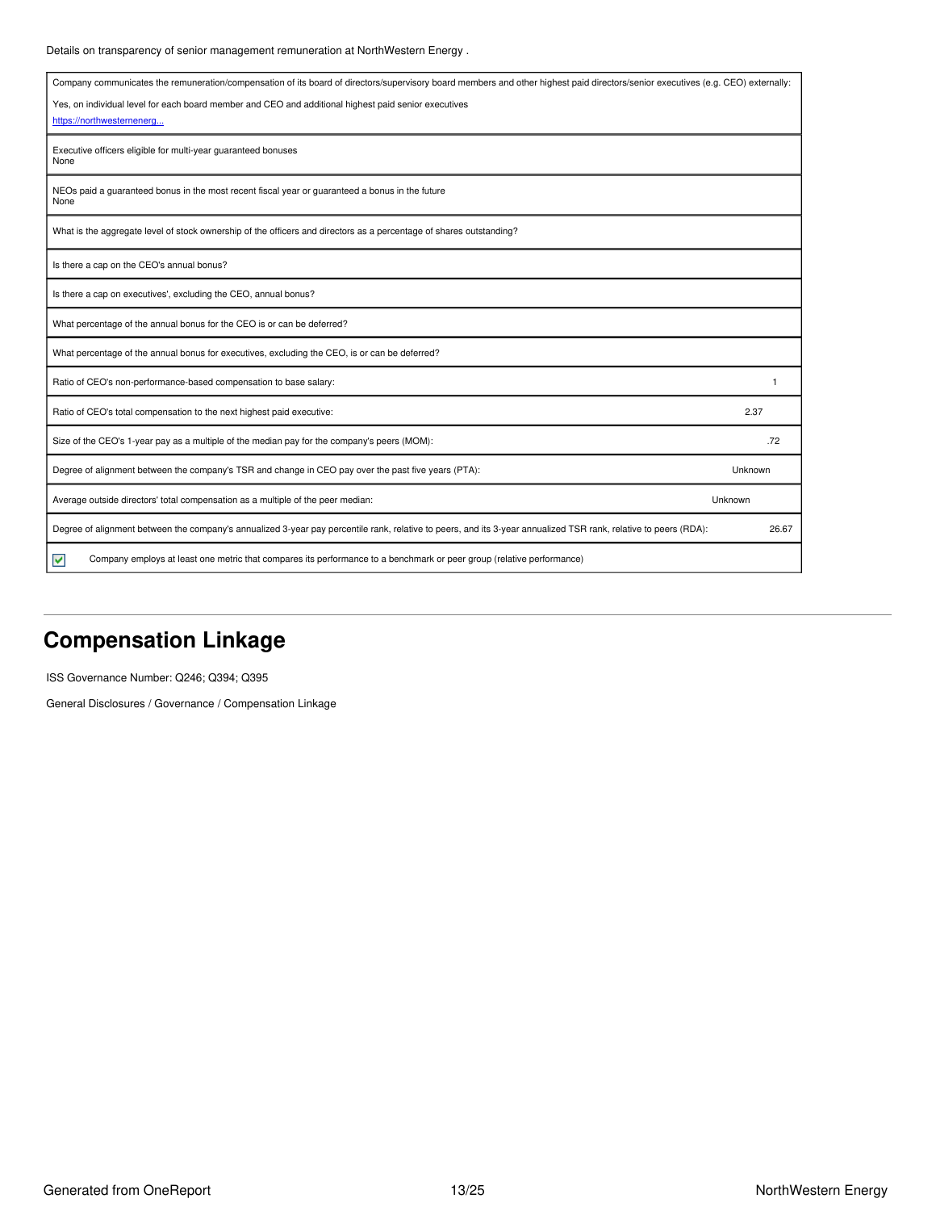### Details on transparency of senior management remuneration at NorthWestern Energy .

| Company communicates the remuneration/compensation of its board of directors/supervisory board members and other highest paid directors/senior executives (e.g. CEO) externally: |         |
|----------------------------------------------------------------------------------------------------------------------------------------------------------------------------------|---------|
| Yes, on individual level for each board member and CEO and additional highest paid senior executives                                                                             |         |
| https://northwesternenera                                                                                                                                                        |         |
| Executive officers eligible for multi-year guaranteed bonuses<br>None                                                                                                            |         |
| NEOs paid a guaranteed bonus in the most recent fiscal year or guaranteed a bonus in the future<br>None                                                                          |         |
| What is the aggregate level of stock ownership of the officers and directors as a percentage of shares outstanding?                                                              |         |
| Is there a cap on the CEO's annual bonus?                                                                                                                                        |         |
| Is there a cap on executives', excluding the CEO, annual bonus?                                                                                                                  |         |
| What percentage of the annual bonus for the CEO is or can be deferred?                                                                                                           |         |
| What percentage of the annual bonus for executives, excluding the CEO, is or can be deferred?                                                                                    |         |
| Ratio of CEO's non-performance-based compensation to base salary:                                                                                                                |         |
| Ratio of CEO's total compensation to the next highest paid executive:                                                                                                            | 2.37    |
| Size of the CEO's 1-year pay as a multiple of the median pay for the company's peers (MOM):                                                                                      | .72     |
| Degree of alignment between the company's TSR and change in CEO pay over the past five years (PTA):                                                                              | Unknown |
| Average outside directors' total compensation as a multiple of the peer median:                                                                                                  | Unknown |
| Degree of alignment between the company's annualized 3-year pay percentile rank, relative to peers, and its 3-year annualized TSR rank, relative to peers (RDA):                 | 26.67   |
| Company employs at least one metric that compares its performance to a benchmark or peer group (relative performance)<br>M                                                       |         |

# <span id="page-12-0"></span>**Compensation Linkage**

ISS Governance Number: Q246; Q394; Q395

General Disclosures / Governance / Compensation Linkage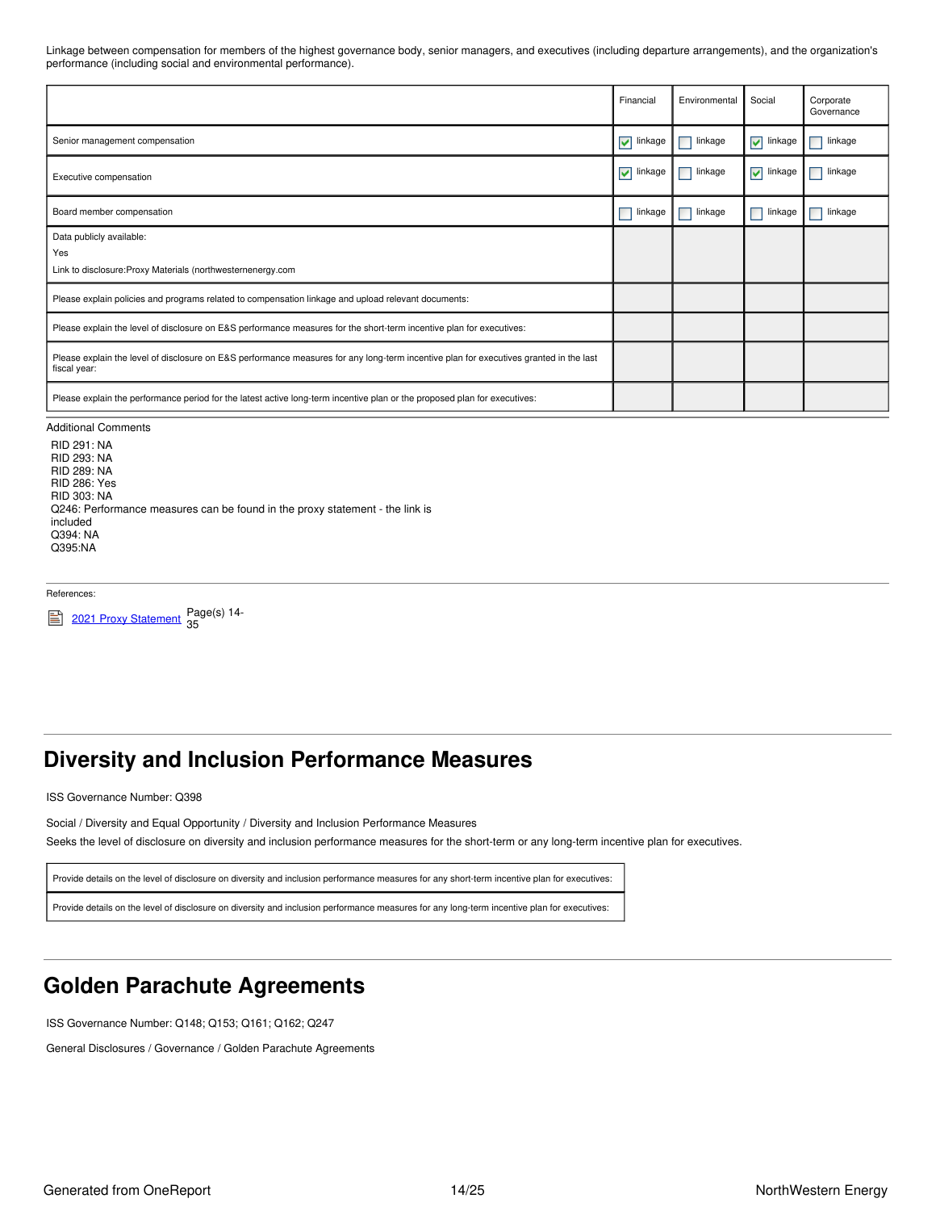Linkage between compensation for members of the highest governance body, senior managers, and executives (including departure arrangements), and the organization's performance (including social and environmental performance).

|                                                                                                                                                        | Financial                          | Environmental | Social                        | Corporate<br>Governance |
|--------------------------------------------------------------------------------------------------------------------------------------------------------|------------------------------------|---------------|-------------------------------|-------------------------|
| Senior management compensation                                                                                                                         | $\overline{\mathbf{v}}$<br>linkage | linkage       | $\sqrt{\phantom{a}}$ linkage  | linkage                 |
| Executive compensation                                                                                                                                 | $\blacktriangledown$<br>linkage    | linkage       | $\blacktriangleright$ linkage | linkage                 |
| Board member compensation                                                                                                                              | linkage                            | linkage       | linkage                       | linkage                 |
| Data publicly available:                                                                                                                               |                                    |               |                               |                         |
| Yes                                                                                                                                                    |                                    |               |                               |                         |
| Link to disclosure: Proxy Materials (northwesternenergy.com                                                                                            |                                    |               |                               |                         |
| Please explain policies and programs related to compensation linkage and upload relevant documents:                                                    |                                    |               |                               |                         |
| Please explain the level of disclosure on E&S performance measures for the short-term incentive plan for executives:                                   |                                    |               |                               |                         |
| Please explain the level of disclosure on E&S performance measures for any long-term incentive plan for executives granted in the last<br>fiscal year: |                                    |               |                               |                         |
| Please explain the performance period for the latest active long-term incentive plan or the proposed plan for executives:                              |                                    |               |                               |                         |

#### Additional Comments

RID 291: NA RID 293: NA RID 289: NA RID 286: Yes RID 303: NA Q246: Performance measures can be found in the proxy statement - the link is included Q394: NA Q395:NA

References:

2021 Proxy [Statement](https://www.northwesternenergy.com/docs/default-source/documents/proxy/2021-Proxy-Statement-Final.pdf) <sub>25</sub><br>2021 Proxy Statement <sub>25</sub> 35

## <span id="page-13-0"></span>**Diversity and Inclusion Performance Measures**

ISS Governance Number: Q398

Social / Diversity and Equal Opportunity / Diversity and Inclusion Performance Measures

Seeks the level of disclosure on diversity and inclusion performance measures for the short-term or any long-term incentive plan for executives.

Provide details on the level of disclosure on diversity and inclusion performance measures for any short-term incentive plan for executives:

Provide details on the level of disclosure on diversity and inclusion performance measures for any long-term incentive plan for executives:

## <span id="page-13-1"></span>**Golden Parachute Agreements**

ISS Governance Number: Q148; Q153; Q161; Q162; Q247

General Disclosures / Governance / Golden Parachute Agreements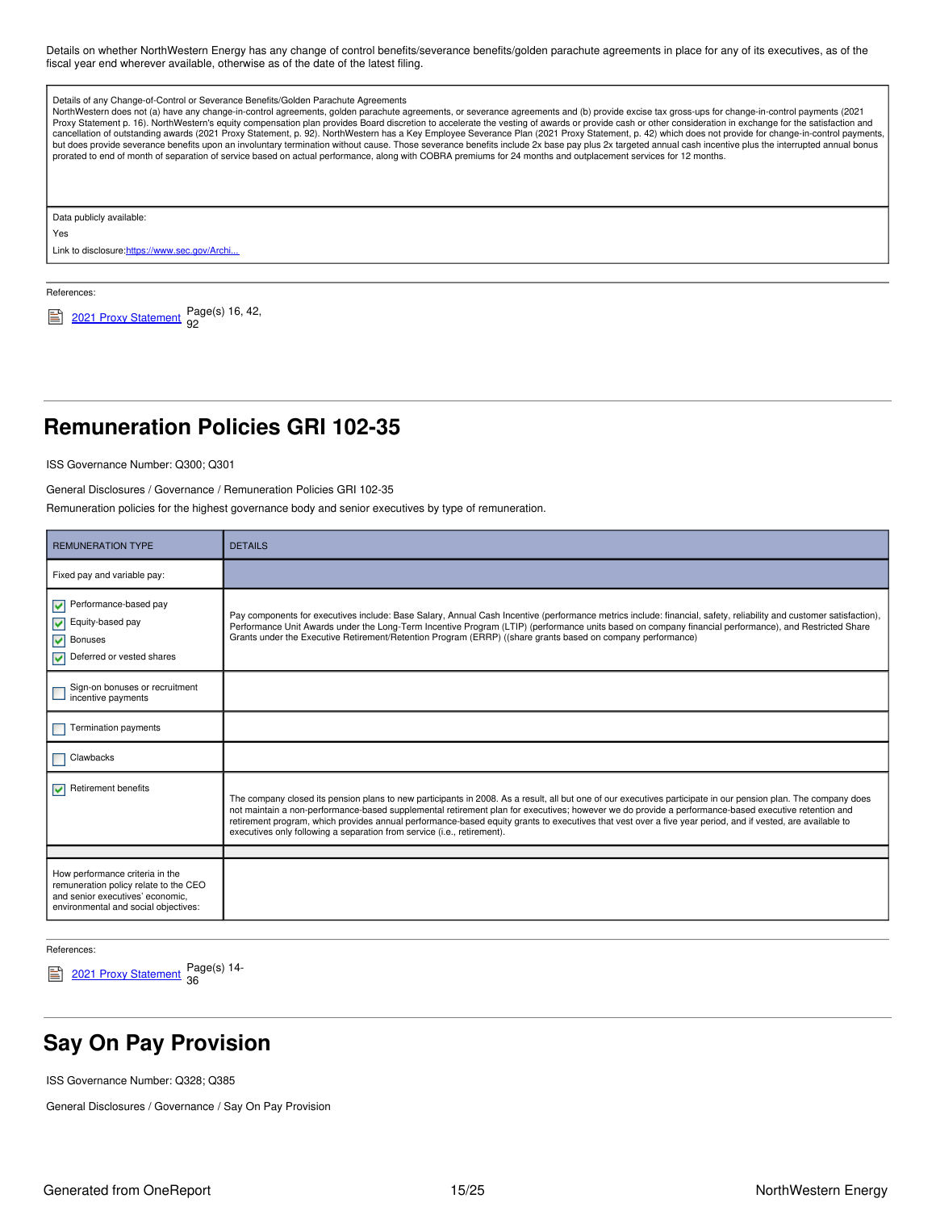Details on whether NorthWestern Energy has any change of control benefits/severance benefits/golden parachute agreements in place for any of its executives, as of the fiscal year end wherever available, otherwise as of the date of the latest filing.

| Details of any Change-of-Control or Severance Benefits/Golden Parachute Agreements<br>NorthWestern does not (a) have any change-in-control agreements, golden parachute agreements, or severance agreements and (b) provide excise tax gross-ups for change-in-control payments (2021<br>Proxy Statement p. 16). NorthWestern's equity compensation plan provides Board discretion to accelerate the vesting of awards or provide cash or other consideration in exchange for the satisfaction and<br>cancellation of outstanding awards (2021 Proxy Statement, p. 92). NorthWestern has a Key Employee Severance Plan (2021 Proxy Statement, p. 42) which does not provide for change-in-control payments,<br>but does provide severance benefits upon an involuntary termination without cause. Those severance benefits include 2x base pay plus 2x targeted annual cash incentive plus the interrupted annual bonus<br>prorated to end of month of separation of service based on actual performance, along with COBRA premiums for 24 months and outplacement services for 12 months. |
|--------------------------------------------------------------------------------------------------------------------------------------------------------------------------------------------------------------------------------------------------------------------------------------------------------------------------------------------------------------------------------------------------------------------------------------------------------------------------------------------------------------------------------------------------------------------------------------------------------------------------------------------------------------------------------------------------------------------------------------------------------------------------------------------------------------------------------------------------------------------------------------------------------------------------------------------------------------------------------------------------------------------------------------------------------------------------------------------|
| Data publicly available:                                                                                                                                                                                                                                                                                                                                                                                                                                                                                                                                                                                                                                                                                                                                                                                                                                                                                                                                                                                                                                                                   |
| Yes                                                                                                                                                                                                                                                                                                                                                                                                                                                                                                                                                                                                                                                                                                                                                                                                                                                                                                                                                                                                                                                                                        |

Link to disclosure: https://www.sec.gov/Archi...

References:

 $2021$  Proxy [Statement](https://www.northwesternenergy.com/docs/default-source/documents/proxy/2021-Proxy-Statement-Final.pdf)  $_{92}^{2021}$ 92

## <span id="page-14-0"></span>**Remuneration Policies GRI 102-35**

ISS Governance Number: Q300; Q301

General Disclosures / Governance / Remuneration Policies GRI 102-35

Remuneration policies for the highest governance body and senior executives by type of remuneration.

| <b>REMUNERATION TYPE</b>                                                                                                                             | <b>DETAILS</b>                                                                                                                                                                                                                                                                                                                                                                                                                                                                                                                                                 |
|------------------------------------------------------------------------------------------------------------------------------------------------------|----------------------------------------------------------------------------------------------------------------------------------------------------------------------------------------------------------------------------------------------------------------------------------------------------------------------------------------------------------------------------------------------------------------------------------------------------------------------------------------------------------------------------------------------------------------|
| Fixed pay and variable pay:                                                                                                                          |                                                                                                                                                                                                                                                                                                                                                                                                                                                                                                                                                                |
| Performance-based pay<br>M<br>Equity-based pay<br>⊽<br><b>Bonuses</b><br>▿<br>Deferred or vested shares                                              | Pay components for executives include: Base Salary, Annual Cash Incentive (performance metrics include: financial, safety, reliability and customer satisfaction),<br>Performance Unit Awards under the Long-Term Incentive Program (LTIP) (performance units based on company financial performance), and Restricted Share<br>Grants under the Executive Retirement/Retention Program (ERRP) ((share grants based on company performance)                                                                                                                     |
| Sign-on bonuses or recruitment<br>incentive payments                                                                                                 |                                                                                                                                                                                                                                                                                                                                                                                                                                                                                                                                                                |
| Termination payments                                                                                                                                 |                                                                                                                                                                                                                                                                                                                                                                                                                                                                                                                                                                |
| Clawbacks                                                                                                                                            |                                                                                                                                                                                                                                                                                                                                                                                                                                                                                                                                                                |
| Retirement benefits<br>$\overline{\mathbf{v}}$                                                                                                       | The company closed its pension plans to new participants in 2008. As a result, all but one of our executives participate in our pension plan. The company does<br>not maintain a non-performance-based supplemental retirement plan for executives; however we do provide a performance-based executive retention and<br>retirement program, which provides annual performance-based equity grants to executives that vest over a five year period, and if vested, are available to<br>executives only following a separation from service (i.e., retirement). |
|                                                                                                                                                      |                                                                                                                                                                                                                                                                                                                                                                                                                                                                                                                                                                |
| How performance criteria in the<br>remuneration policy relate to the CEO<br>and senior executives' economic.<br>environmental and social objectives: |                                                                                                                                                                                                                                                                                                                                                                                                                                                                                                                                                                |

References:

2021 Proxy [Statement](https://www.northwesternenergy.com/docs/default-source/documents/proxy/2021-Proxy-Statement-Final.pdf) Page(s) 14-36

## <span id="page-14-1"></span>**Say On Pay Provision**

ISS Governance Number: Q328; Q385

General Disclosures / Governance / Say On Pay Provision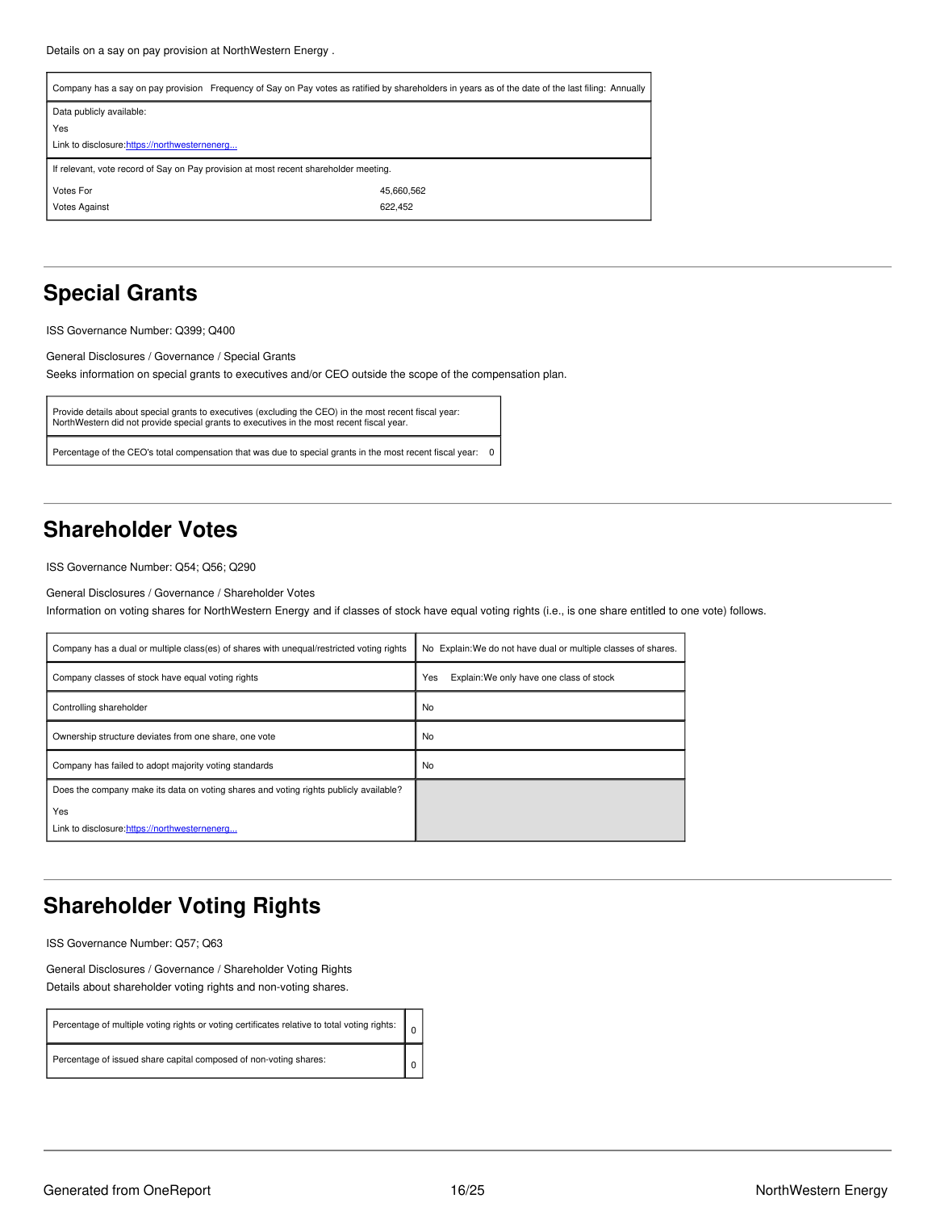| Company has a say on pay provision Frequency of Say on Pay votes as ratified by shareholders in years as of the date of the last filing: Annually |            |  |  |  |
|---------------------------------------------------------------------------------------------------------------------------------------------------|------------|--|--|--|
| Data publicly available:                                                                                                                          |            |  |  |  |
| Yes                                                                                                                                               |            |  |  |  |
| Link to disclosure:https://northwesternenerg                                                                                                      |            |  |  |  |
| If relevant, vote record of Say on Pay provision at most recent shareholder meeting.                                                              |            |  |  |  |
| Votes For                                                                                                                                         | 45,660,562 |  |  |  |
| <b>Votes Against</b>                                                                                                                              | 622.452    |  |  |  |

# <span id="page-15-0"></span>**Special Grants**

ISS Governance Number: Q399; Q400

General Disclosures / Governance / Special Grants

Seeks information on special grants to executives and/or CEO outside the scope of the compensation plan.

```
Provide details about special grants to executives (excluding the CEO) in the most recent fiscal year:
NorthWestern did not provide special grants to executives in the most recent fiscal year.
```
Percentage of the CEO's total compensation that was due to special grants in the most recent fiscal year: 0

## <span id="page-15-1"></span>**Shareholder Votes**

ISS Governance Number: Q54; Q56; Q290

General Disclosures / Governance / Shareholder Votes

Information on voting shares for NorthWestern Energy and if classes of stock have equal voting rights (i.e., is one share entitled to one vote) follows.

| Company has a dual or multiple class(es) of shares with unequal/restricted voting rights | No Explain: We do not have dual or multiple classes of shares. |
|------------------------------------------------------------------------------------------|----------------------------------------------------------------|
| Company classes of stock have equal voting rights                                        | Yes<br>Explain: We only have one class of stock                |
| Controlling shareholder                                                                  | No                                                             |
| Ownership structure deviates from one share, one vote                                    | No                                                             |
| Company has failed to adopt majority voting standards                                    | No                                                             |
| Does the company make its data on voting shares and voting rights publicly available?    |                                                                |
| Yes<br>Link to disclosure:https://northwesternenerg                                      |                                                                |

## <span id="page-15-2"></span>**Shareholder Voting Rights**

ISS Governance Number: Q57; Q63

General Disclosures / Governance / Shareholder Voting Rights Details about shareholder voting rights and non-voting shares.

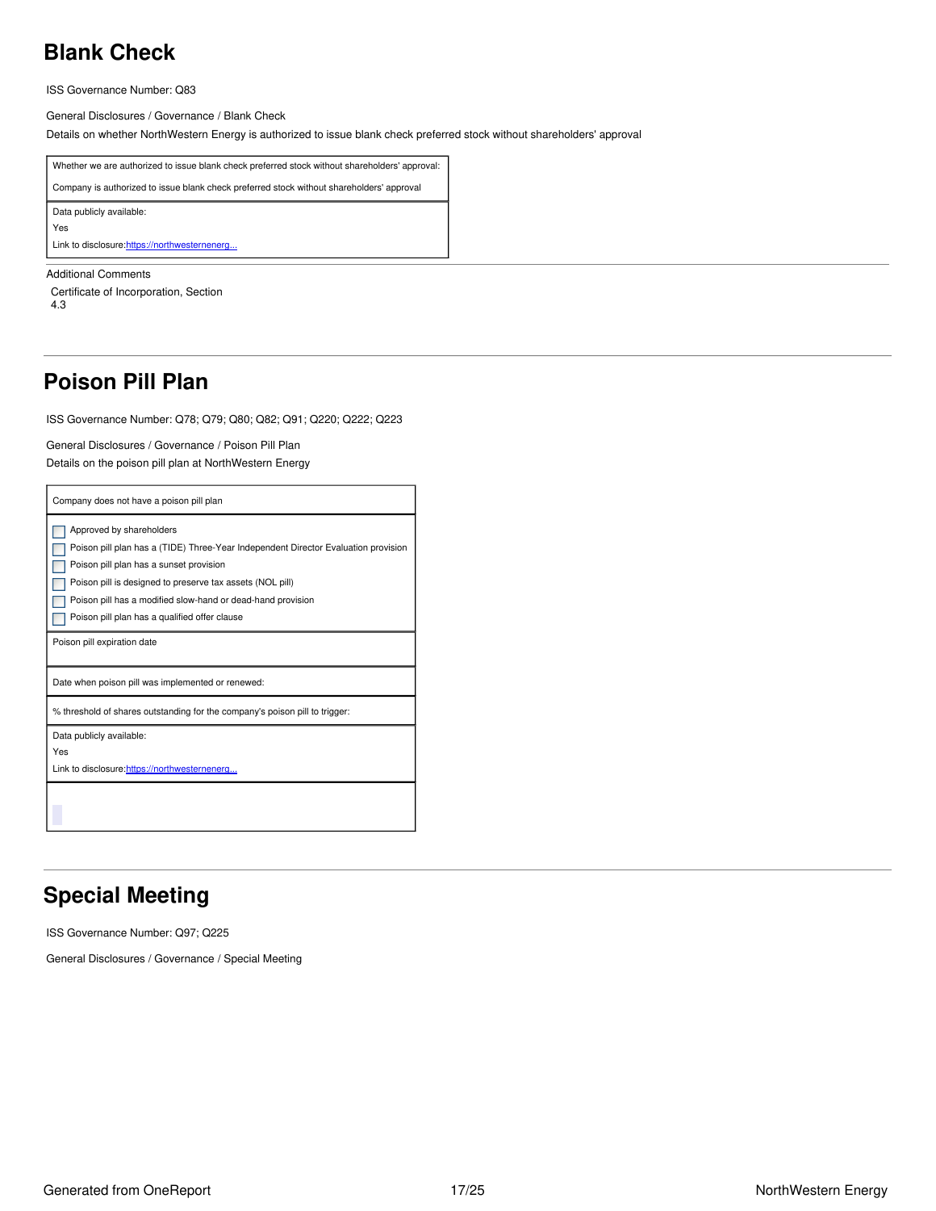# <span id="page-16-0"></span>**Blank Check**

ISS Governance Number: Q83

General Disclosures / Governance / Blank Check

Details on whether NorthWestern Energy is authorized to issue blank check preferred stock without shareholders' approval



Additional Comments

Certificate of Incorporation, Section 4.3

## <span id="page-16-1"></span>**Poison Pill Plan**

ISS Governance Number: Q78; Q79; Q80; Q82; Q91; Q220; Q222; Q223

General Disclosures / Governance / Poison Pill Plan

Details on the poison pill plan at NorthWestern Energy

| Company does not have a poison pill plan                                                                                                                                                                                                                                                                                               |  |  |
|----------------------------------------------------------------------------------------------------------------------------------------------------------------------------------------------------------------------------------------------------------------------------------------------------------------------------------------|--|--|
| Approved by shareholders<br>Poison pill plan has a (TIDE) Three-Year Independent Director Evaluation provision<br>Poison pill plan has a sunset provision<br>Poison pill is designed to preserve tax assets (NOL pill)<br>Poison pill has a modified slow-hand or dead-hand provision<br>Poison pill plan has a qualified offer clause |  |  |
| Poison pill expiration date                                                                                                                                                                                                                                                                                                            |  |  |
| Date when poison pill was implemented or renewed:                                                                                                                                                                                                                                                                                      |  |  |
| % threshold of shares outstanding for the company's poison pill to trigger:                                                                                                                                                                                                                                                            |  |  |
| Data publicly available:<br>Yes<br>Link to disclosure: https://northwesternenerg                                                                                                                                                                                                                                                       |  |  |
|                                                                                                                                                                                                                                                                                                                                        |  |  |

## <span id="page-16-2"></span>**Special Meeting**

ISS Governance Number: Q97; Q225

General Disclosures / Governance / Special Meeting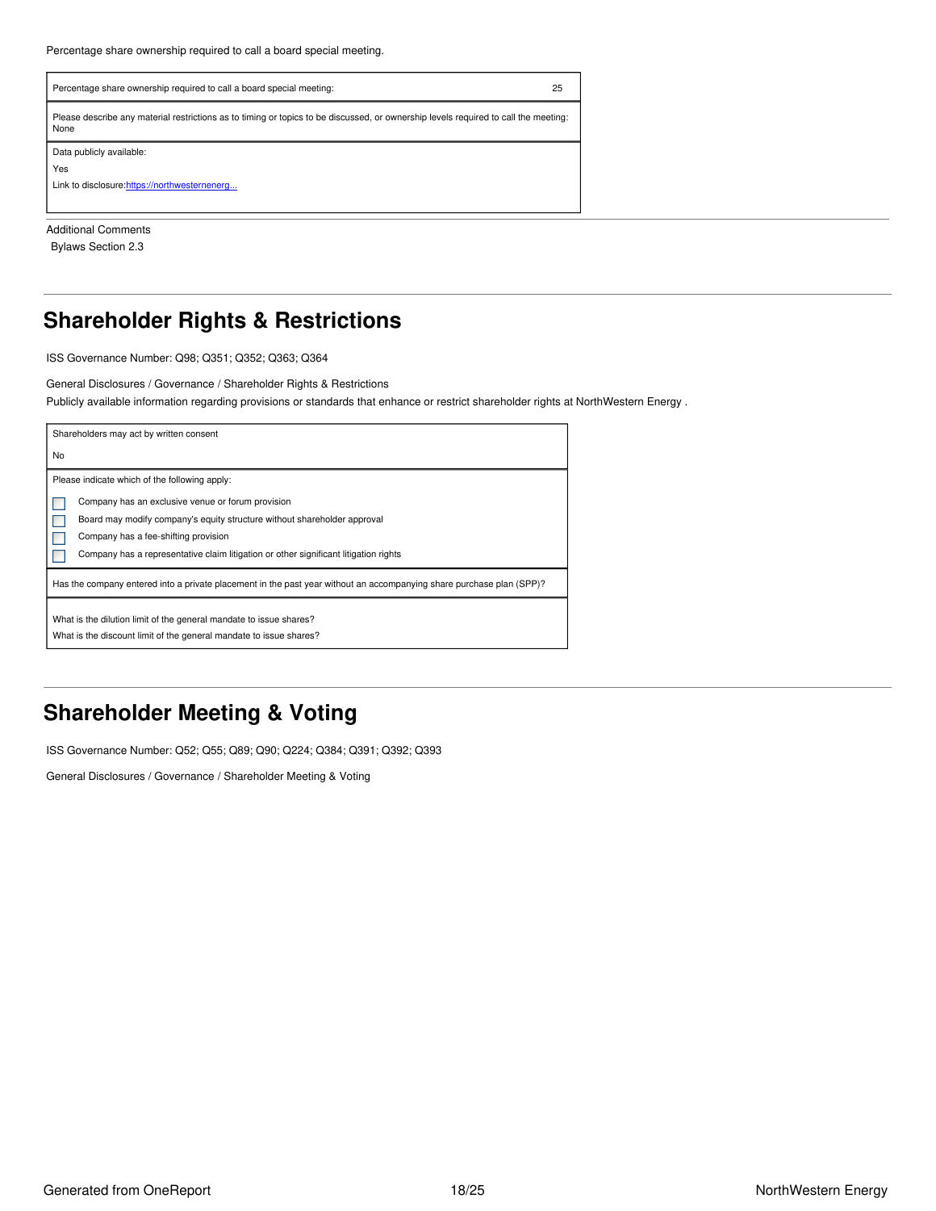| Percentage share ownership required to call a board special meeting:                                                                        | 25 |  |
|---------------------------------------------------------------------------------------------------------------------------------------------|----|--|
| Please describe any material restrictions as to timing or topics to be discussed, or ownership levels required to call the meeting:<br>None |    |  |
| Data publicly available:                                                                                                                    |    |  |
| Yes                                                                                                                                         |    |  |
| Link to disclosure: https://northwesternenerg                                                                                               |    |  |
|                                                                                                                                             |    |  |

Additional Comments Bylaws Section 2.3

## <span id="page-17-0"></span>**Shareholder Rights & Restrictions**

ISS Governance Number: Q98; Q351; Q352; Q363; Q364

#### General Disclosures / Governance / Shareholder Rights & Restrictions

Publicly available information regarding provisions or standards that enhance or restrict shareholder rights at NorthWestern Energy .

| Shareholders may act by written consent                                                                                                  |
|------------------------------------------------------------------------------------------------------------------------------------------|
| No                                                                                                                                       |
| Please indicate which of the following apply:                                                                                            |
| Company has an exclusive venue or forum provision                                                                                        |
| Board may modify company's equity structure without shareholder approval                                                                 |
| Company has a fee-shifting provision                                                                                                     |
| Company has a representative claim litigation or other significant litigation rights                                                     |
| Has the company entered into a private placement in the past year without an accompanying share purchase plan (SPP)?                     |
| What is the dilution limit of the general mandate to issue shares?<br>What is the discount limit of the general mandate to issue shares? |

## <span id="page-17-1"></span>**Shareholder Meeting & Voting**

ISS Governance Number: Q52; Q55; Q89; Q90; Q224; Q384; Q391; Q392; Q393

General Disclosures / Governance / Shareholder Meeting & Voting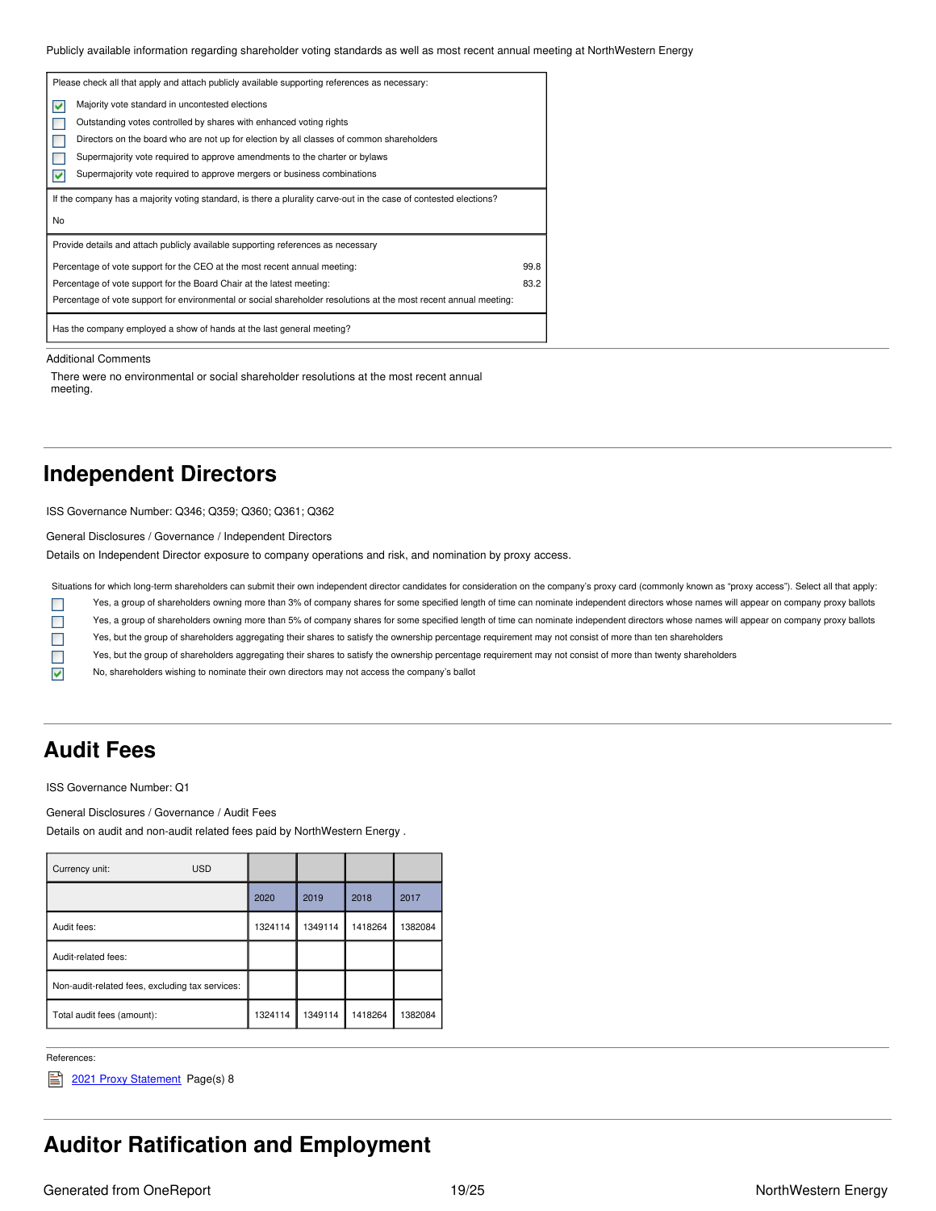Publicly available information regarding shareholder voting standards as well as most recent annual meeting at NorthWestern Energy

|                                                                                          | Please check all that apply and attach publicly available supporting references as necessary:                     |      |
|------------------------------------------------------------------------------------------|-------------------------------------------------------------------------------------------------------------------|------|
| M                                                                                        | Majority vote standard in uncontested elections                                                                   |      |
|                                                                                          | Outstanding votes controlled by shares with enhanced voting rights                                                |      |
| Directors on the board who are not up for election by all classes of common shareholders |                                                                                                                   |      |
|                                                                                          | Supermajority vote required to approve amendments to the charter or bylaws                                        |      |
| Supermajority vote required to approve mergers or business combinations<br>M             |                                                                                                                   |      |
|                                                                                          |                                                                                                                   |      |
|                                                                                          | If the company has a majority voting standard, is there a plurality carve-out in the case of contested elections? |      |
| No                                                                                       |                                                                                                                   |      |
|                                                                                          | Provide details and attach publicly available supporting references as necessary                                  |      |
|                                                                                          | Percentage of vote support for the CEO at the most recent annual meeting:                                         | 99.8 |
|                                                                                          | Percentage of vote support for the Board Chair at the latest meeting:                                             | 83.2 |
|                                                                                          | Percentage of vote support for environmental or social shareholder resolutions at the most recent annual meeting: |      |

Additional Comments

There were no environmental or social shareholder resolutions at the most recent annual meeting.

### <span id="page-18-0"></span>**Independent Directors**

ISS Governance Number: Q346; Q359; Q360; Q361; Q362

General Disclosures / Governance / Independent Directors

Details on Independent Director exposure to company operations and risk, and nomination by proxy access.

Situations for which long-term shareholders can submit their own independent director candidates for consideration on the company's proxy card (commonly known as "proxy access"). Select all that apply: Yes, a group of shareholders owning more than 3% of company shares for some specified length of time can nominate independent directors whose names will appear on company proxy ballots  $\Box$ 

Yes, a group of shareholders owning more than 5% of company shares for some specified length of time can nominate independent directors whose names will appear on company proxy ballots

Yes, but the group of shareholders aggregating their shares to satisfy the ownership percentage requirement may not consist of more than ten shareholders

Yes, but the group of shareholders aggregating their shares to satisfy the ownership percentage requirement may not consist of more than twenty shareholders

No, shareholders wishing to nominate their own directors may not access the company's ballot

### <span id="page-18-1"></span>**Audit Fees**

 $\mathcal{L}_{\mathcal{A}}$  $\mathcal{L}_{\mathcal{A}}$  $\mathcal{L}_{\mathcal{A}}$  $\blacktriangledown$ 

ISS Governance Number: Q1

General Disclosures / Governance / Audit Fees

Details on audit and non-audit related fees paid by NorthWestern Energy .

| Currency unit:<br><b>USD</b>                    |         |         |         |         |
|-------------------------------------------------|---------|---------|---------|---------|
|                                                 | 2020    | 2019    | 2018    | 2017    |
| Audit fees:                                     | 1324114 | 1349114 | 1418264 | 1382084 |
| Audit-related fees:                             |         |         |         |         |
| Non-audit-related fees, excluding tax services: |         |         |         |         |
| Total audit fees (amount):                      | 1324114 | 1349114 | 1418264 | 1382084 |

References:

2021 Proxy [Statement](https://www.northwesternenergy.com/docs/default-source/documents/proxy/2021-Proxy-Statement-Final.pdf) Page(s) 8

### <span id="page-18-2"></span>**Auditor Ratification and Employment**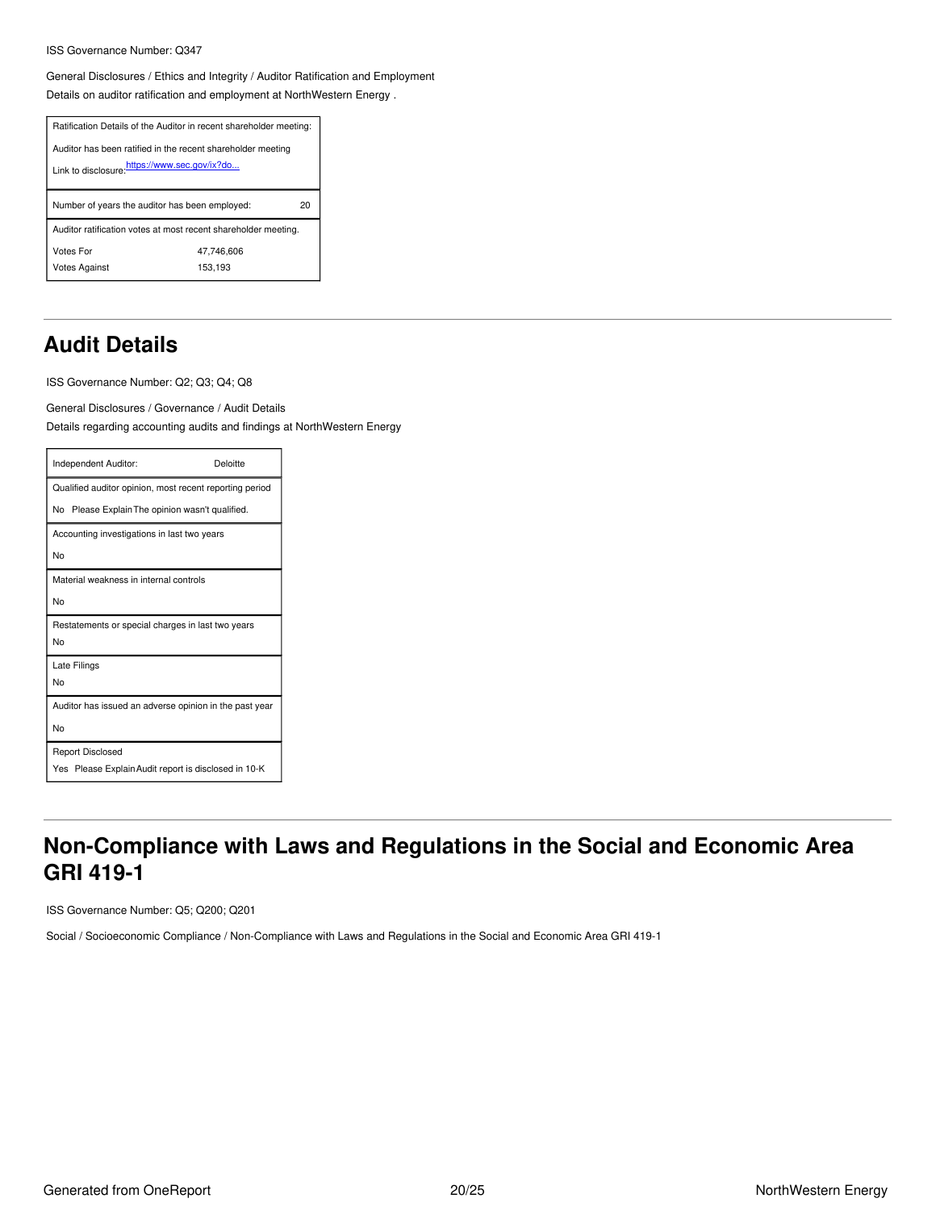#### ISS Governance Number: Q347

General Disclosures / Ethics and Integrity / Auditor Ratification and Employment Details on auditor ratification and employment at NorthWestern Energy .

| Ratification Details of the Auditor in recent shareholder meeting:                                          |                       |  |
|-------------------------------------------------------------------------------------------------------------|-----------------------|--|
| Auditor has been ratified in the recent shareholder meeting<br>Link to disclosure.https://www.sec.gov/ix?do |                       |  |
| Number of years the auditor has been employed:<br>20                                                        |                       |  |
| Auditor ratification votes at most recent shareholder meeting.                                              |                       |  |
| Votes For<br><b>Votes Against</b>                                                                           | 47.746.606<br>153,193 |  |

## <span id="page-19-0"></span>**Audit Details**

ISS Governance Number: Q2; Q3; Q4; Q8

General Disclosures / Governance / Audit Details Details regarding accounting audits and findings at NorthWestern Energy

| Independent Auditor:                                    | Deloitte |
|---------------------------------------------------------|----------|
| Qualified auditor opinion, most recent reporting period |          |
| No Please Explain The opinion wasn't qualified.         |          |
| Accounting investigations in last two years             |          |
| No                                                      |          |
| Material weakness in internal controls                  |          |
| No                                                      |          |
| Restatements or special charges in last two years       |          |
| No                                                      |          |
| Late Filings                                            |          |
| No                                                      |          |
| Auditor has issued an adverse opinion in the past year  |          |
| No                                                      |          |
| <b>Report Disclosed</b>                                 |          |
| Yes Please Explain Audit report is disclosed in 10-K    |          |

## <span id="page-19-1"></span>**Non-Compliance with Laws and Regulations in the Social and Economic Area GRI 419-1**

ISS Governance Number: Q5; Q200; Q201

Social / Socioeconomic Compliance / Non-Compliance with Laws and Regulations in the Social and Economic Area GRI 419-1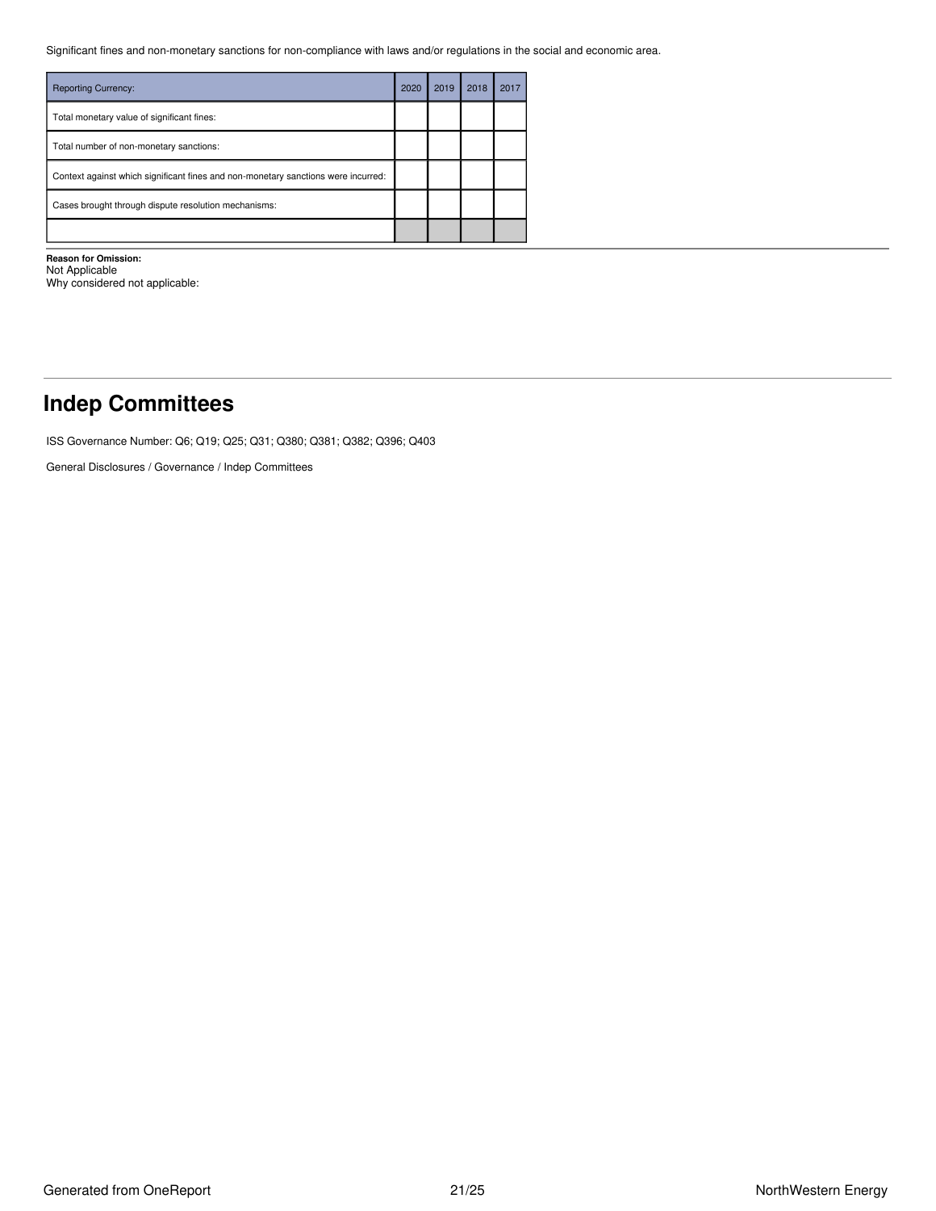Significant fines and non-monetary sanctions for non-compliance with laws and/or regulations in the social and economic area.

| <b>Reporting Currency:</b>                                                        | 2020 | 2019 | 2018 | 2017 |
|-----------------------------------------------------------------------------------|------|------|------|------|
| Total monetary value of significant fines:                                        |      |      |      |      |
| Total number of non-monetary sanctions:                                           |      |      |      |      |
| Context against which significant fines and non-monetary sanctions were incurred: |      |      |      |      |
| Cases brought through dispute resolution mechanisms:                              |      |      |      |      |
|                                                                                   |      |      |      |      |

**Reason for Omission:** Not Applicable

Why considered not applicable:

## <span id="page-20-0"></span>**Indep Committees**

ISS Governance Number: Q6; Q19; Q25; Q31; Q380; Q381; Q382; Q396; Q403

General Disclosures / Governance / Indep Committees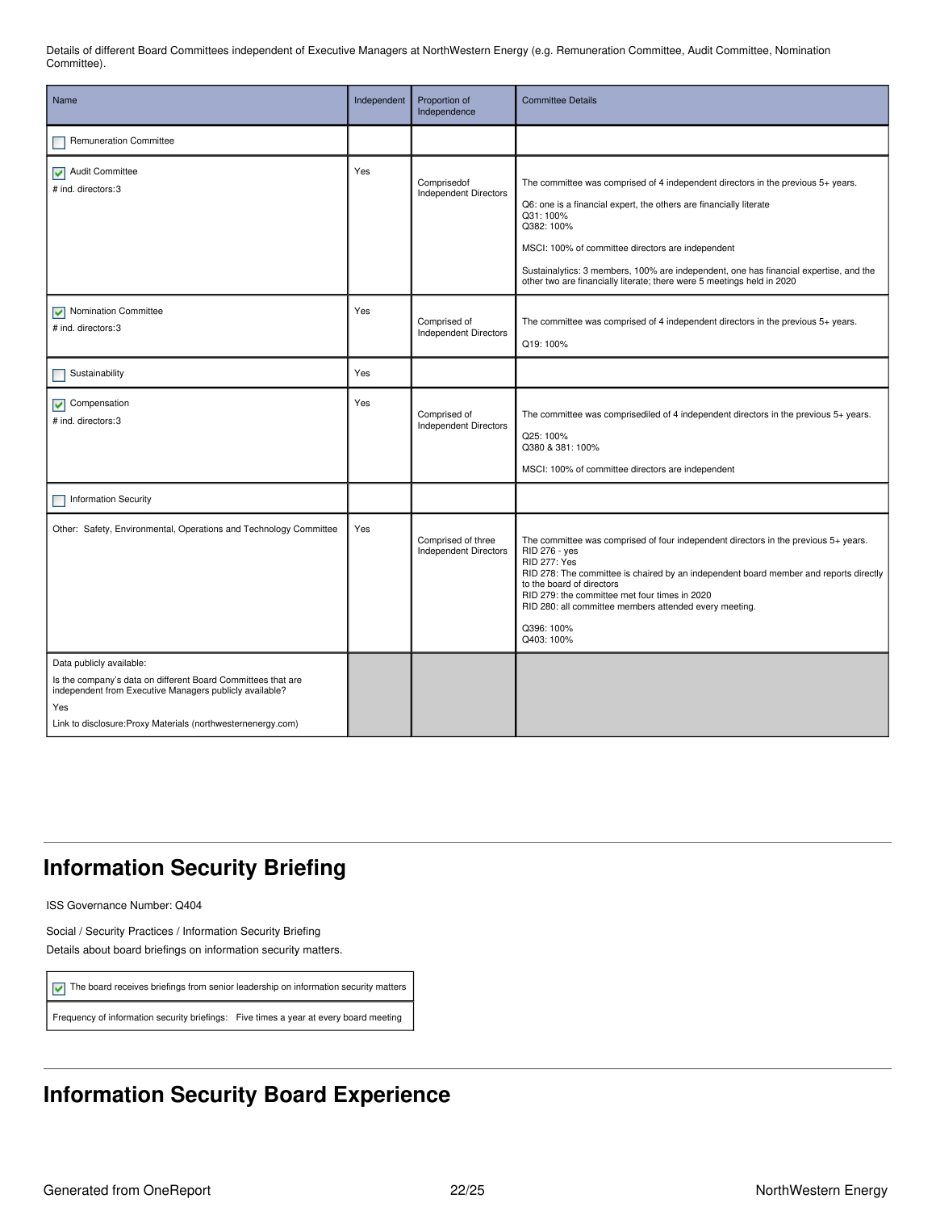Details of different Board Committees independent of Executive Managers at NorthWestern Energy (e.g. Remuneration Committee, Audit Committee, Nomination Committee).

| Name                                                                                                                                                                                                                       | Independent | Proportion of<br>Independence                      | <b>Committee Details</b>                                                                                                                                                                                                                                                                                                                                                                                 |
|----------------------------------------------------------------------------------------------------------------------------------------------------------------------------------------------------------------------------|-------------|----------------------------------------------------|----------------------------------------------------------------------------------------------------------------------------------------------------------------------------------------------------------------------------------------------------------------------------------------------------------------------------------------------------------------------------------------------------------|
| Remuneration Committee                                                                                                                                                                                                     |             |                                                    |                                                                                                                                                                                                                                                                                                                                                                                                          |
| Audit Committee<br># ind. directors: 3                                                                                                                                                                                     | Yes         | Comprisedof<br><b>Independent Directors</b>        | The committee was comprised of 4 independent directors in the previous 5+ years.<br>Q6: one is a financial expert, the others are financially literate<br>Q31:100%<br>Q382: 100%<br>MSCI: 100% of committee directors are independent<br>Sustainalytics: 3 members, 100% are independent, one has financial expertise, and the<br>other two are financially literate; there were 5 meetings held in 2020 |
| V Nomination Committee<br># ind. directors: 3                                                                                                                                                                              | Yes         | Comprised of<br><b>Independent Directors</b>       | The committee was comprised of 4 independent directors in the previous 5+ years.<br>Q19:100%                                                                                                                                                                                                                                                                                                             |
| Sustainability                                                                                                                                                                                                             | Yes         |                                                    |                                                                                                                                                                                                                                                                                                                                                                                                          |
| $\triangleright$ Compensation<br># ind. directors: 3                                                                                                                                                                       | Yes         | Comprised of<br><b>Independent Directors</b>       | The committee was comprisediled of 4 independent directors in the previous 5+ years.<br>Q25:100%<br>Q380 & 381: 100%<br>MSCI: 100% of committee directors are independent                                                                                                                                                                                                                                |
| <b>Information Security</b>                                                                                                                                                                                                |             |                                                    |                                                                                                                                                                                                                                                                                                                                                                                                          |
| Other: Safety, Environmental, Operations and Technology Committee                                                                                                                                                          | Yes         | Comprised of three<br><b>Independent Directors</b> | The committee was comprised of four independent directors in the previous 5+ years.<br>RID 276 - yes<br><b>RID 277: Yes</b><br>RID 278: The committee is chaired by an independent board member and reports directly<br>to the board of directors<br>RID 279: the committee met four times in 2020<br>RID 280: all committee members attended every meeting.<br>Q396: 100%<br>Q403: 100%                 |
| Data publicly available:<br>Is the company's data on different Board Committees that are<br>independent from Executive Managers publicly available?<br>Yes<br>Link to disclosure: Proxy Materials (northwesternenergy.com) |             |                                                    |                                                                                                                                                                                                                                                                                                                                                                                                          |

## <span id="page-21-0"></span>**Information Security Briefing**

ISS Governance Number: Q404

Social / Security Practices / Information Security Briefing Details about board briefings on information security matters.

 $\triangledown$  The board receives briefings from senior leadership on information security matters

Frequency of information security briefings: Five times a year at every board meeting

# <span id="page-21-1"></span>**Information Security Board Experience**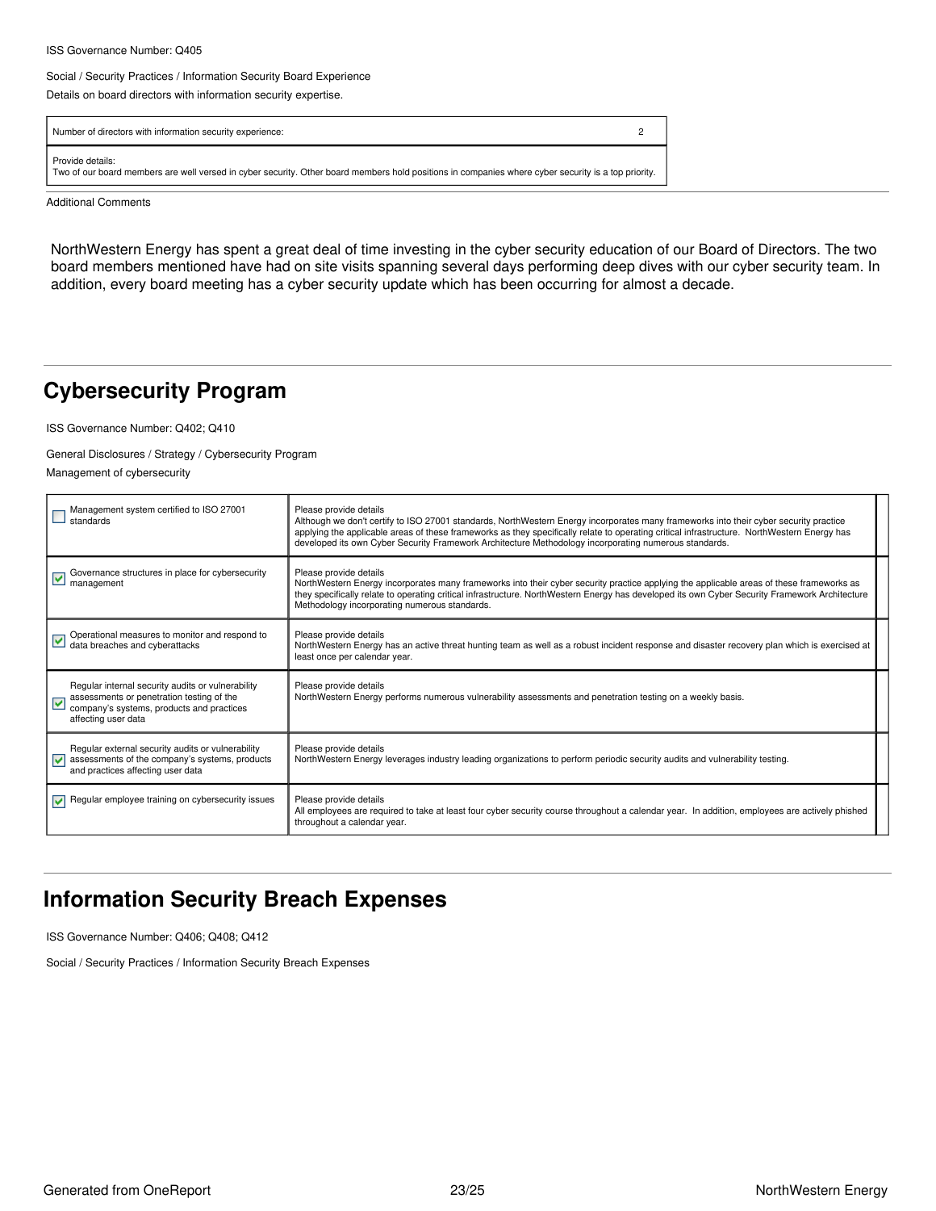#### ISS Governance Number: Q405

#### Social / Security Practices / Information Security Board Experience

Details on board directors with information security expertise.

| Number of directors with information security experience:                                                                                                               |  |
|-------------------------------------------------------------------------------------------------------------------------------------------------------------------------|--|
| Provide details:<br>Two of our board members are well versed in cyber security. Other board members hold positions in companies where cyber security is a top priority. |  |

Additional Comments

NorthWestern Energy has spent a great deal of time investing in the cyber security education of our Board of Directors. The two board members mentioned have had on site visits spanning several days performing deep dives with our cyber security team. In addition, every board meeting has a cyber security update which has been occurring for almost a decade.

## <span id="page-22-0"></span>**Cybersecurity Program**

ISS Governance Number: Q402; Q410

### General Disclosures / Strategy / Cybersecurity Program

Management of cybersecurity

| Management system certified to ISO 27001<br>standards                                                                                                                   | Please provide details<br>Although we don't certify to ISO 27001 standards, NorthWestern Energy incorporates many frameworks into their cyber security practice<br>applying the applicable areas of these frameworks as they specifically relate to operating critical infrastructure. NorthWestern Energy has<br>developed its own Cyber Security Framework Architecture Methodology incorporating numerous standards. |  |
|-------------------------------------------------------------------------------------------------------------------------------------------------------------------------|-------------------------------------------------------------------------------------------------------------------------------------------------------------------------------------------------------------------------------------------------------------------------------------------------------------------------------------------------------------------------------------------------------------------------|--|
| Governance structures in place for cybersecurity<br>⊻<br>management                                                                                                     | Please provide details<br>NorthWestern Energy incorporates many frameworks into their cyber security practice applying the applicable areas of these frameworks as<br>they specifically relate to operating critical infrastructure. NorthWestern Energy has developed its own Cyber Security Framework Architecture<br>Methodology incorporating numerous standards.                                                   |  |
| Operational measures to monitor and respond to<br>data breaches and cyberattacks                                                                                        | Please provide details<br>NorthWestern Energy has an active threat hunting team as well as a robust incident response and disaster recovery plan which is exercised at<br>least once per calendar year.                                                                                                                                                                                                                 |  |
| Regular internal security audits or vulnerability<br>assessments or penetration testing of the<br>⊽<br>company's systems, products and practices<br>affecting user data | Please provide details<br>NorthWestern Energy performs numerous vulnerability assessments and penetration testing on a weekly basis.                                                                                                                                                                                                                                                                                    |  |
| Regular external security audits or vulnerability<br>assessments of the company's systems, products<br>M<br>and practices affecting user data                           | Please provide details<br>NorthWestern Energy leverages industry leading organizations to perform periodic security audits and vulnerability testing.                                                                                                                                                                                                                                                                   |  |
| Regular employee training on cybersecurity issues                                                                                                                       | Please provide details<br>All employees are required to take at least four cyber security course throughout a calendar year. In addition, employees are actively phished<br>throughout a calendar year.                                                                                                                                                                                                                 |  |

## <span id="page-22-1"></span>**Information Security Breach Expenses**

ISS Governance Number: Q406; Q408; Q412

Social / Security Practices / Information Security Breach Expenses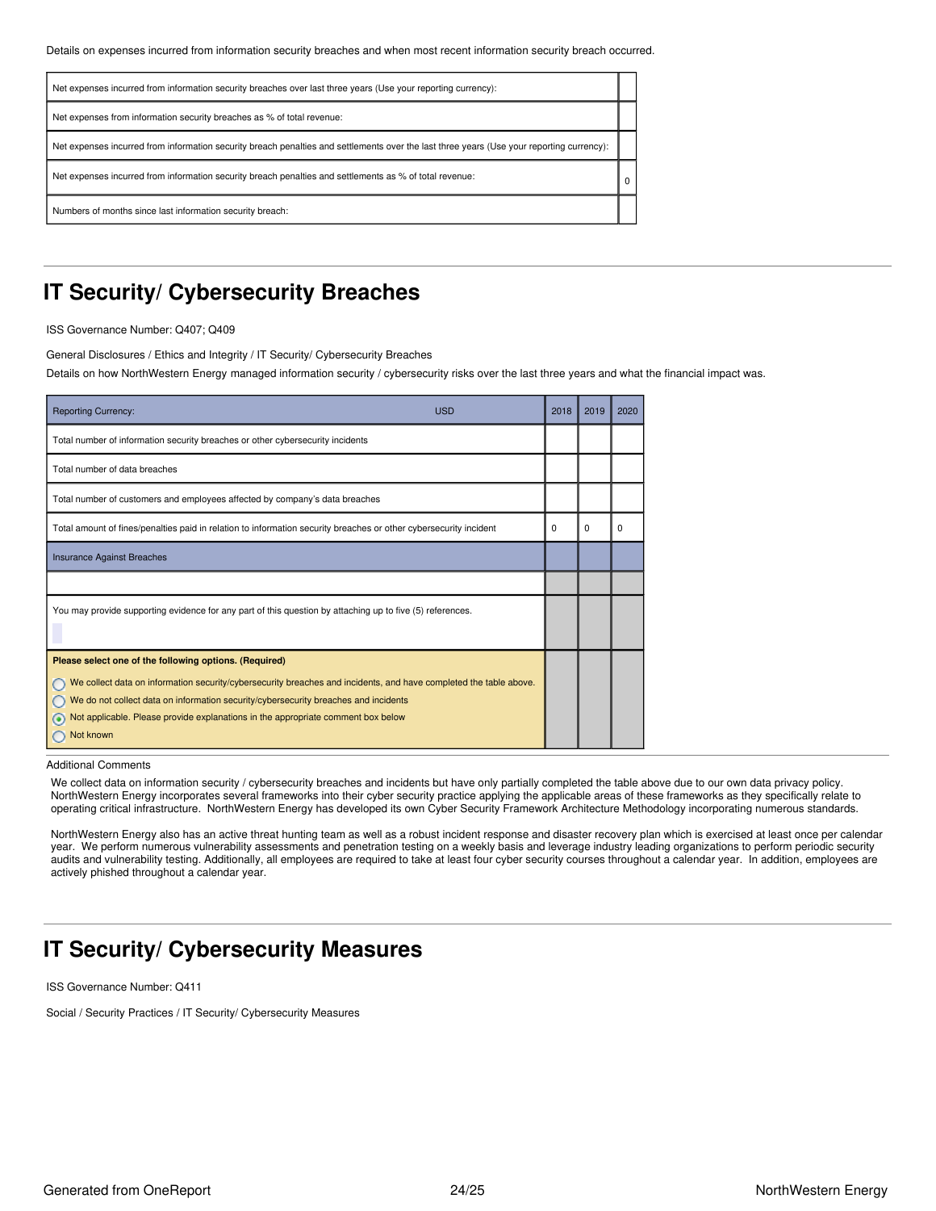| Net expenses incurred from information security breaches over last three years (Use your reporting currency):                             |          |
|-------------------------------------------------------------------------------------------------------------------------------------------|----------|
| Net expenses from information security breaches as % of total revenue:                                                                    |          |
| Net expenses incurred from information security breach penalties and settlements over the last three years (Use your reporting currency): |          |
| Net expenses incurred from information security breach penalties and settlements as % of total revenue:                                   | $\Omega$ |
| Numbers of months since last information security breach:                                                                                 |          |

### <span id="page-23-0"></span>**IT Security/ Cybersecurity Breaches**

ISS Governance Number: Q407; Q409

General Disclosures / Ethics and Integrity / IT Security/ Cybersecurity Breaches

Details on how NorthWestern Energy managed information security / cybersecurity risks over the last three years and what the financial impact was.

| <b>USD</b><br><b>Reporting Currency:</b>                                                                                                                                                                                                                                                                                                                            | 2018 | 2019     | 2020     |
|---------------------------------------------------------------------------------------------------------------------------------------------------------------------------------------------------------------------------------------------------------------------------------------------------------------------------------------------------------------------|------|----------|----------|
| Total number of information security breaches or other cybersecurity incidents                                                                                                                                                                                                                                                                                      |      |          |          |
| Total number of data breaches                                                                                                                                                                                                                                                                                                                                       |      |          |          |
| Total number of customers and employees affected by company's data breaches                                                                                                                                                                                                                                                                                         |      |          |          |
| Total amount of fines/penalties paid in relation to information security breaches or other cybersecurity incident                                                                                                                                                                                                                                                   | 0    | $\Omega$ | $\Omega$ |
| <b>Insurance Against Breaches</b>                                                                                                                                                                                                                                                                                                                                   |      |          |          |
|                                                                                                                                                                                                                                                                                                                                                                     |      |          |          |
| You may provide supporting evidence for any part of this question by attaching up to five (5) references.                                                                                                                                                                                                                                                           |      |          |          |
| Please select one of the following options. (Required)<br>We collect data on information security/cybersecurity breaches and incidents, and have completed the table above.<br>We do not collect data on information security/cybersecurity breaches and incidents<br>Not applicable. Please provide explanations in the appropriate comment box below<br>Not known |      |          |          |

Additional Comments

We collect data on information security / cybersecurity breaches and incidents but have only partially completed the table above due to our own data privacy policy. NorthWestern Energy incorporates several frameworks into their cyber security practice applying the applicable areas of these frameworks as they specifically relate to operating critical infrastructure. NorthWestern Energy has developed its own Cyber Security Framework Architecture Methodology incorporating numerous standards.

NorthWestern Energy also has an active threat hunting team as well as a robust incident response and disaster recovery plan which is exercised at least once per calendar year. We perform numerous vulnerability assessments and penetration testing on a weekly basis and leverage industry leading organizations to perform periodic security audits and vulnerability testing. Additionally, all employees are required to take at least four cyber security courses throughout a calendar year. In addition, employees are actively phished throughout a calendar year.

## <span id="page-23-1"></span>**IT Security/ Cybersecurity Measures**

ISS Governance Number: Q411

Social / Security Practices / IT Security/ Cybersecurity Measures